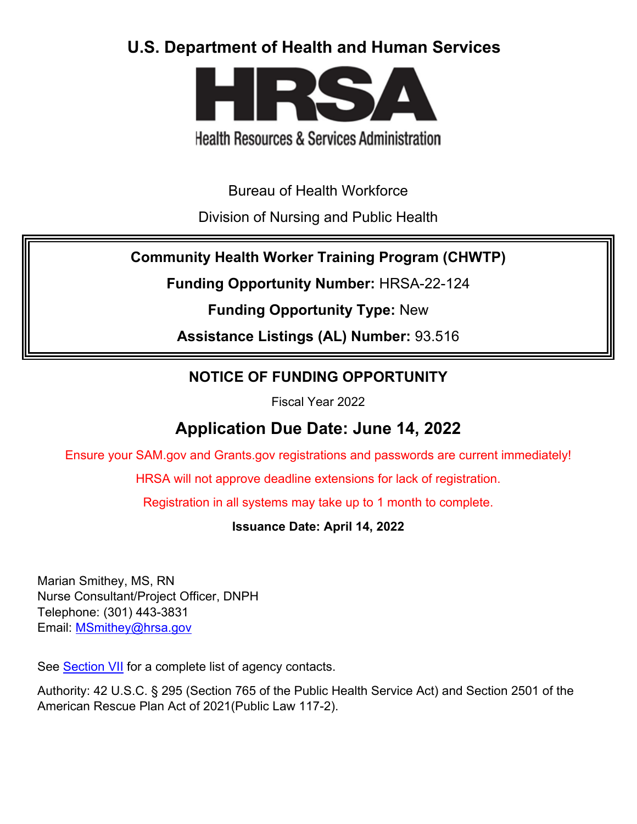# **U.S. Department of Health and Human Services**



# **Health Resources & Services Administration**

Bureau of Health Workforce

Division of Nursing and Public Health

## **Community Health Worker Training Program (CHWTP)**

**Funding Opportunity Number:** HRSA-22-124

**Funding Opportunity Type:** New

**Assistance Listings (AL) Number:** 93.516

## **NOTICE OF FUNDING OPPORTUNITY**

Fiscal Year 2022

# **Application Due Date: June 14, 2022**

Ensure your SAM.gov and Grants.gov registrations and passwords are current immediately!

HRSA will not approve deadline extensions for lack of registration.

Registration in all systems may take up to 1 month to complete.

**Issuance Date: April 14, 2022**

Marian Smithey, MS, RN Nurse Consultant/Project Officer, DNPH Telephone: (301) 443-3831 Email: **MSmithey@hrsa.gov** 

See [Section VII](#page-51-0) for a complete list of agency contacts.

Authority: 42 U.S.C. § 295 (Section 765 of the Public Health Service Act) and Section 2501 of the American Rescue Plan Act of 2021(Public Law 117-2).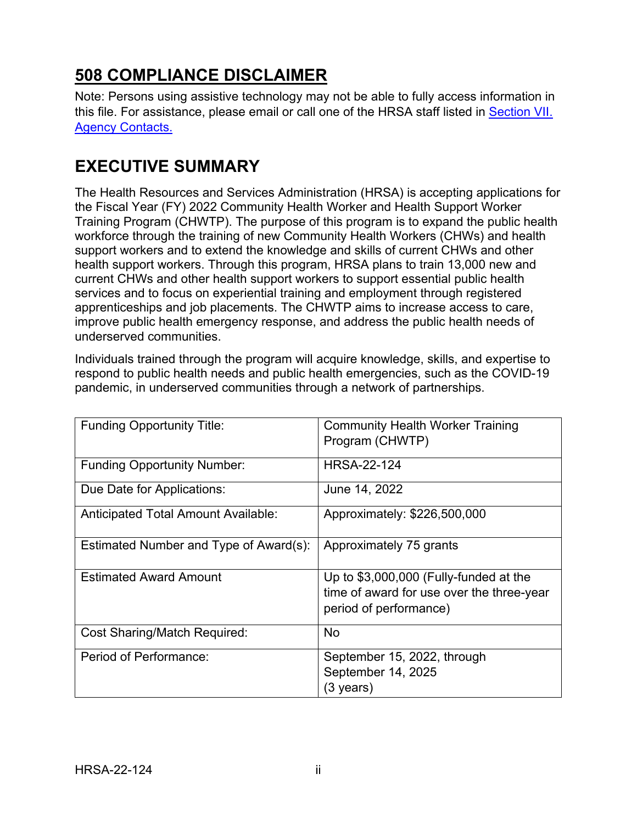# **508 COMPLIANCE DISCLAIMER**

Note: Persons using assistive technology may not be able to fully access information in this file. For assistance, please email or call one of the HRSA staff listed in [Section VII.](#page-51-0)  [Agency Contacts.](#page-51-0)

# **EXECUTIVE SUMMARY**

The Health Resources and Services Administration (HRSA) is accepting applications for the Fiscal Year (FY) 2022 Community Health Worker and Health Support Worker Training Program (CHWTP). The purpose of this program is to expand the public health workforce through the training of new Community Health Workers (CHWs) and health support workers and to extend the knowledge and skills of current CHWs and other health support workers. Through this program, HRSA plans to train 13,000 new and current CHWs and other health support workers to support essential public health services and to focus on experiential training and employment through registered apprenticeships and job placements. The CHWTP aims to increase access to care, improve public health emergency response, and address the public health needs of underserved communities.

Individuals trained through the program will acquire knowledge, skills, and expertise to respond to public health needs and public health emergencies, such as the COVID-19 pandemic, in underserved communities through a network of partnerships.

| <b>Funding Opportunity Title:</b>      | <b>Community Health Worker Training</b><br>Program (CHWTP)                                                    |
|----------------------------------------|---------------------------------------------------------------------------------------------------------------|
| <b>Funding Opportunity Number:</b>     | <b>HRSA-22-124</b>                                                                                            |
| Due Date for Applications:             | June 14, 2022                                                                                                 |
| Anticipated Total Amount Available:    | Approximately: \$226,500,000                                                                                  |
| Estimated Number and Type of Award(s): | Approximately 75 grants                                                                                       |
| <b>Estimated Award Amount</b>          | Up to \$3,000,000 (Fully-funded at the<br>time of award for use over the three-year<br>period of performance) |
| <b>Cost Sharing/Match Required:</b>    | <b>No</b>                                                                                                     |
| Period of Performance:                 | September 15, 2022, through<br>September 14, 2025<br>(3 years)                                                |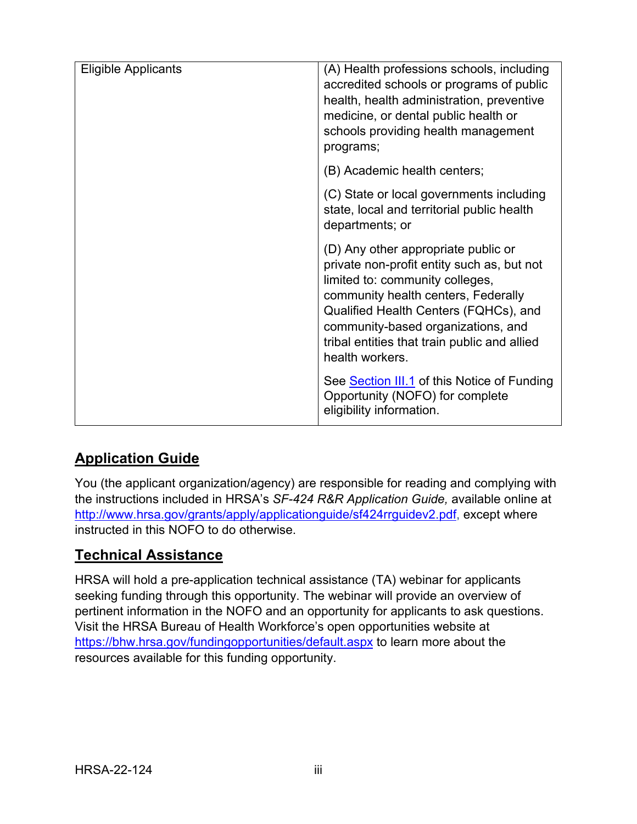| <b>Eligible Applicants</b> | (A) Health professions schools, including<br>accredited schools or programs of public<br>health, health administration, preventive<br>medicine, or dental public health or<br>schools providing health management<br>programs;                                                                                |
|----------------------------|---------------------------------------------------------------------------------------------------------------------------------------------------------------------------------------------------------------------------------------------------------------------------------------------------------------|
|                            | (B) Academic health centers;                                                                                                                                                                                                                                                                                  |
|                            | (C) State or local governments including<br>state, local and territorial public health<br>departments; or                                                                                                                                                                                                     |
|                            | (D) Any other appropriate public or<br>private non-profit entity such as, but not<br>limited to: community colleges,<br>community health centers, Federally<br>Qualified Health Centers (FQHCs), and<br>community-based organizations, and<br>tribal entities that train public and allied<br>health workers. |
|                            | See Section III.1 of this Notice of Funding<br>Opportunity (NOFO) for complete<br>eligibility information.                                                                                                                                                                                                    |

## **Application Guide**

You (the applicant organization/agency) are responsible for reading and complying with the instructions included in HRSA's *SF-424 R&R Application Guide,* available online at [http://www.hrsa.gov/grants/apply/applicationguide/sf424rrguidev2.pdf,](http://www.hrsa.gov/grants/apply/applicationguide/sf424rrguidev2.pdf) except where instructed in this NOFO to do otherwise.

## **Technical Assistance**

HRSA will hold a pre-application technical assistance (TA) webinar for applicants seeking funding through this opportunity. The webinar will provide an overview of pertinent information in the NOFO and an opportunity for applicants to ask questions. Visit the HRSA Bureau of Health Workforce's open opportunities website at <https://bhw.hrsa.gov/fundingopportunities/default.aspx> to learn more about the resources available for this funding opportunity.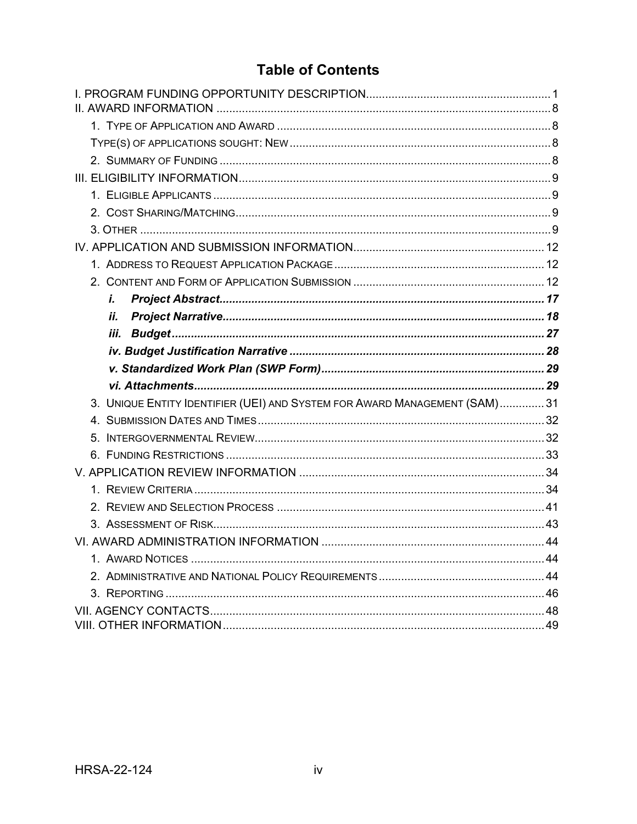## **Table of Contents**

| i.                                                                        |  |
|---------------------------------------------------------------------------|--|
| ii.                                                                       |  |
| iii.                                                                      |  |
|                                                                           |  |
|                                                                           |  |
|                                                                           |  |
|                                                                           |  |
| 3. UNIQUE ENTITY IDENTIFIER (UEI) AND SYSTEM FOR AWARD MANAGEMENT (SAM)31 |  |
|                                                                           |  |
|                                                                           |  |
|                                                                           |  |
|                                                                           |  |
|                                                                           |  |
|                                                                           |  |
|                                                                           |  |
|                                                                           |  |
|                                                                           |  |
|                                                                           |  |
|                                                                           |  |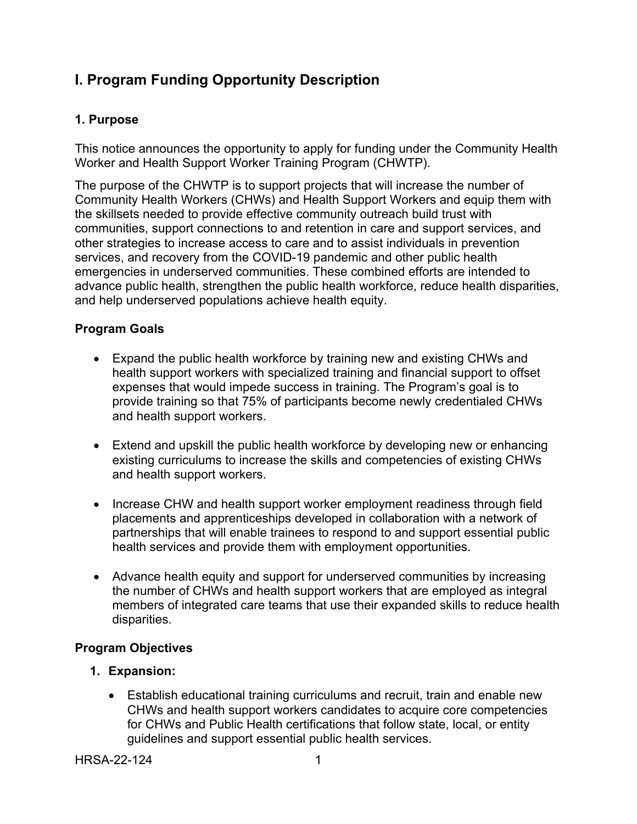## <span id="page-4-0"></span>**I. Program Funding Opportunity Description**

## **1. Purpose**

This notice announces the opportunity to apply for funding under the Community Health Worker and Health Support Worker Training Program (CHWTP).

The purpose of the CHWTP is to support projects that will increase the number of Community Health Workers (CHWs) and Health Support Workers and equip them with the skillsets needed to provide effective community outreach build trust with communities, support connections to and retention in care and support services, and other strategies to increase access to care and to assist individuals in prevention services, and recovery from the COVID-19 pandemic and other public health emergencies in underserved communities. These combined efforts are intended to advance public health, strengthen the public health workforce, reduce health disparities, and help underserved populations achieve health equity.

## **Program Goals**

- Expand the public health workforce by training new and existing CHWs and health support workers with specialized training and financial support to offset expenses that would impede success in training. The Program's goal is to provide training so that 75% of participants become newly credentialed CHWs and health support workers.
- Extend and upskill the public health workforce by developing new or enhancing existing curriculums to increase the skills and competencies of existing CHWs and health support workers.
- Increase CHW and health support worker employment readiness through field placements and apprenticeships developed in collaboration with a network of partnerships that will enable trainees to respond to and support essential public health services and provide them with employment opportunities.
- Advance health equity and support for underserved communities by increasing the number of CHWs and health support workers that are employed as integral members of integrated care teams that use their expanded skills to reduce health disparities.

## **Program Objectives**

- **1. Expansion:** 
	- Establish educational training curriculums and recruit, train and enable new CHWs and health support workers candidates to acquire core competencies for CHWs and Public Health certifications that follow state, local, or entity guidelines and support essential public health services.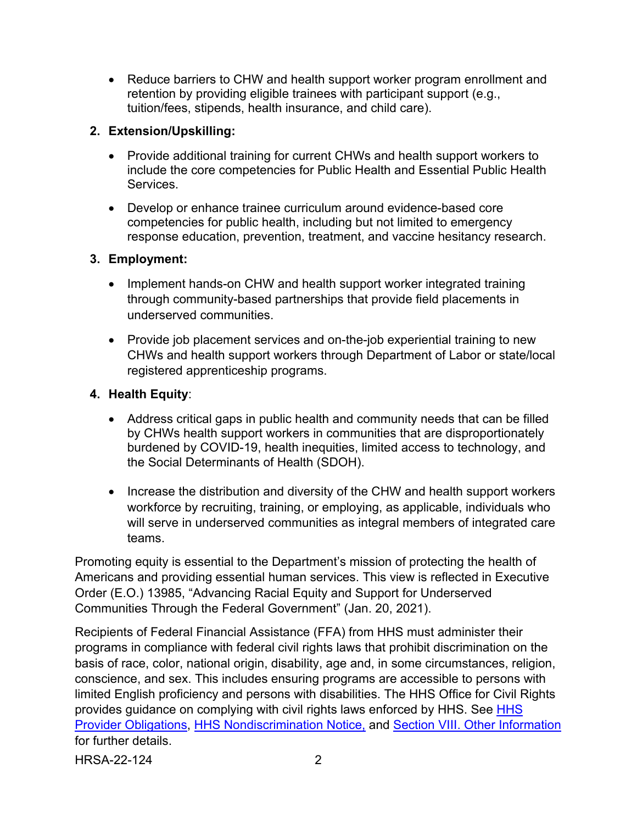• Reduce barriers to CHW and health support worker program enrollment and retention by providing eligible trainees with participant support (e.g., tuition/fees, stipends, health insurance, and child care).

## **2. Extension/Upskilling:**

- Provide additional training for current CHWs and health support workers to include the core competencies for Public Health and Essential Public Health Services.
- Develop or enhance trainee curriculum around evidence-based core competencies for public health, including but not limited to emergency response education, prevention, treatment, and vaccine hesitancy research.

## **3. Employment:**

- Implement hands-on CHW and health support worker integrated training through community-based partnerships that provide field placements in underserved communities.
- Provide job placement services and on-the-job experiential training to new CHWs and health support workers through Department of Labor or state/local registered apprenticeship programs.

## **4. Health Equity**:

- Address critical gaps in public health and community needs that can be filled by CHWs health support workers in communities that are disproportionately burdened by COVID-19, health inequities, limited access to technology, and the Social Determinants of Health (SDOH).
- Increase the distribution and diversity of the CHW and health support workers workforce by recruiting, training, or employing, as applicable, individuals who will serve in underserved communities as integral members of integrated care teams.

Promoting equity is essential to the Department's mission of protecting the health of Americans and providing essential human services. This view is reflected in Executive Order (E.O.) 13985, "Advancing Racial Equity and Support for Underserved Communities Through the Federal Government" (Jan. 20, 2021).

Recipients of Federal Financial Assistance (FFA) from HHS must administer their programs in compliance with federal civil rights laws that prohibit discrimination on the basis of race, color, national origin, disability, age and, in some circumstances, religion, conscience, and sex. This includes ensuring programs are accessible to persons with limited English proficiency and persons with disabilities. The HHS Office for Civil Rights provides guidance on complying with civil rights laws enforced by HHS. See [HHS](https://www.hhs.gov/civil-rights/for-providers/provider-obligations/index.html)  [Provider Obligations,](https://www.hhs.gov/civil-rights/for-providers/provider-obligations/index.html) [HHS Nondiscrimination Notice,](https://www.hhs.gov/civil-rights/for-individuals/nondiscrimination/index.html) and [Section VIII. Other Information](#page-52-1) for further details.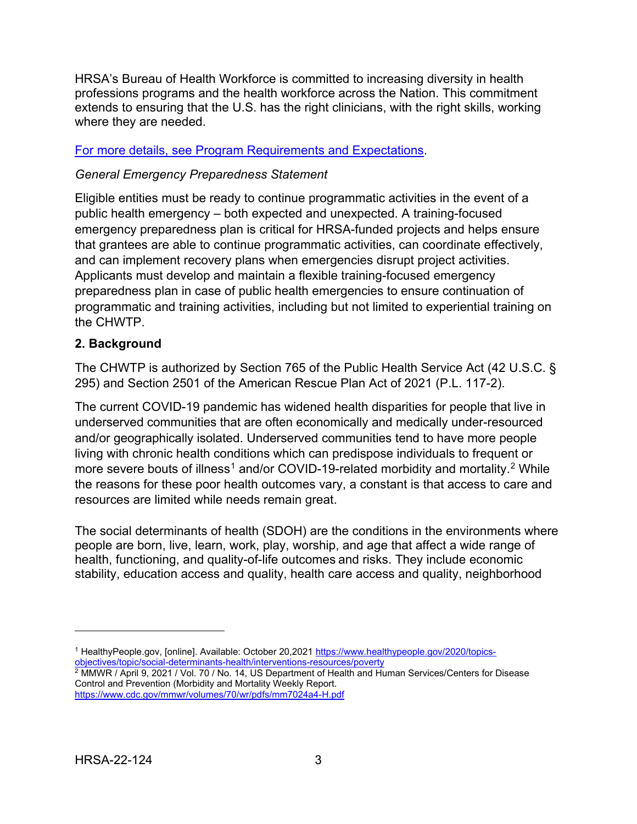HRSA's Bureau of Health Workforce is committed to increasing diversity in health professions programs and the health workforce across the Nation. This commitment extends to ensuring that the U.S. has the right clinicians, with the right skills, working where they are needed.

#### For more details, see [Program Requirements and Expectations.](#page-16-0)

## *General Emergency Preparedness Statement*

Eligible entities must be ready to continue programmatic activities in the event of a public health emergency – both expected and unexpected. A training-focused emergency preparedness plan is critical for HRSA-funded projects and helps ensure that grantees are able to continue programmatic activities, can coordinate effectively, and can implement recovery plans when emergencies disrupt project activities. Applicants must develop and maintain a flexible training-focused emergency preparedness plan in case of public health emergencies to ensure continuation of programmatic and training activities, including but not limited to experiential training on the CHWTP.

## **2. Background**

The CHWTP is authorized by Section 765 of the Public Health Service Act (42 U.S.C. § 295) and Section 2501 of the American Rescue Plan Act of 2021 (P.L. 117-2).

The current COVID-19 pandemic has widened health disparities for people that live in underserved communities that are often economically and medically under-resourced and/or geographically isolated. Underserved communities tend to have more people living with chronic health conditions which can predispose individuals to frequent or more severe bouts of illness<sup>[1](#page-6-0)</sup> and/or COVID-19-related morbidity and mortality.<sup>[2](#page-6-1)</sup> While the reasons for these poor health outcomes vary, a constant is that access to care and resources are limited while needs remain great.

The social determinants of health (SDOH) are the conditions in the environments where people are born, live, learn, work, play, worship, and age that affect a wide range of health, functioning, and quality-of-life outcomes and risks. They include economic stability, education access and quality, health care access and quality, neighborhood

<span id="page-6-0"></span><sup>1</sup> HealthyPeople.gov, [online]. Available: October 20,2021 [https://www.healthypeople.gov/2020/topics](https://www.healthypeople.gov/2020/topics-objectives/topic/social-determinants-health/interventions-resources/poverty)[objectives/topic/social-determinants-health/interventions-resources/poverty](https://www.healthypeople.gov/2020/topics-objectives/topic/social-determinants-health/interventions-resources/poverty)

<span id="page-6-1"></span> $\frac{2}{2}$  MMWR / April 9, 2021 / Vol. 70 / No. 14, US Department of Health and Human Services/Centers for Disease Control and Prevention (Morbidity and Mortality Weekly Report. <https://www.cdc.gov/mmwr/volumes/70/wr/pdfs/mm7024a4-H.pdf>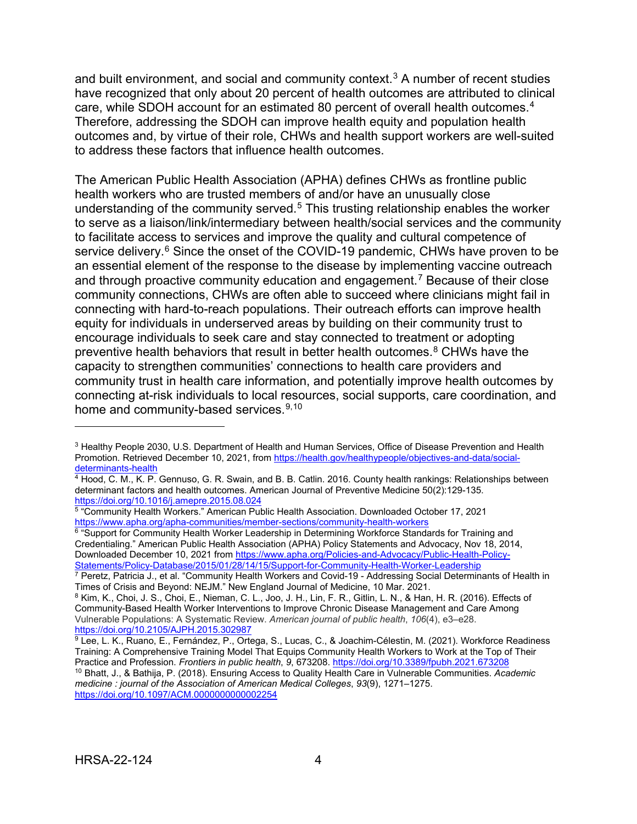and built environment, and social and community context.<sup>[3](#page-7-0)</sup> A number of recent studies have recognized that only about 20 percent of health outcomes are attributed to clinical care, while SDOH account for an estimated 80 percent of overall health outcomes.[4](#page-7-1) Therefore, addressing the SDOH can improve health equity and population health outcomes and, by virtue of their role, CHWs and health support workers are well-suited to address these factors that influence health outcomes.

The American Public Health Association (APHA) defines CHWs as frontline public health workers who are trusted members of and/or have an unusually close understanding of the community served.<sup>[5](#page-7-2)</sup> This trusting relationship enables the worker to serve as a liaison/link/intermediary between health/social services and the community to facilitate access to services and improve the quality and cultural competence of service delivery.<sup>[6](#page-7-3)</sup> Since the onset of the COVID-19 pandemic, CHWs have proven to be an essential element of the response to the disease by implementing vaccine outreach and through proactive community education and engagement. [7](#page-7-4) Because of their close community connections, CHWs are often able to succeed where clinicians might fail in connecting with hard-to-reach populations. Their outreach efforts can improve health equity for individuals in underserved areas by building on their community trust to encourage individuals to seek care and stay connected to treatment or adopting preventive health behaviors that result in better health outcomes.<sup>[8](#page-7-5)</sup> CHWs have the capacity to strengthen communities' connections to health care providers and community trust in health care information, and potentially improve health outcomes by connecting at-risk individuals to local resources, social supports, care coordination, and home and community-based services.<sup>[9](#page-7-6),10</sup>

<span id="page-7-3"></span> $^6$  "Support for Community Health Worker Leadership in Determining Workforce Standards for Training and Credentialing." American Public Health Association (APHA) Policy Statements and Advocacy, Nov 18, 2014, Downloaded December 10, 2021 from [https://www.apha.org/Policies-and-Advocacy/Public-Health-Policy-](https://www.apha.org/Policies-and-Advocacy/Public-Health-Policy-Statements/Policy-Database/2015/01/28/14/15/Support-for-Community-Health-Worker-Leadership)[Statements/Policy-Database/2015/01/28/14/15/Support-for-Community-Health-Worker-Leadership](https://www.apha.org/Policies-and-Advocacy/Public-Health-Policy-Statements/Policy-Database/2015/01/28/14/15/Support-for-Community-Health-Worker-Leadership)

<span id="page-7-4"></span> $^7$  Peretz, Patricia J., et al. "Community Health Workers and Covid-19 - Addressing Social Determinants of Health in<br>Times of Crisis and Beyond: NEJM." New England Journal of Medicine, 10 Mar. 2021.

<span id="page-7-5"></span>8 Kim, K., Choi, J. S., Choi, E., Nieman, C. L., Joo, J. H., Lin, F. R., Gitlin, L. N., & Han, H. R. (2016). Effects of Community-Based Health Worker Interventions to Improve Chronic Disease Management and Care Among Vulnerable Populations: A Systematic Review. *American journal of public health*, *106*(4), e3–e28. <https://doi.org/10.2105/AJPH.2015.302987>

<span id="page-7-7"></span><span id="page-7-6"></span><sup>9</sup> Lee, L. K., Ruano, E., Fernández, P., Ortega, S., Lucas, C., & Joachim-Célestin, M. (2021). Workforce Readiness Training: A Comprehensive Training Model That Equips Community Health Workers to Work at the Top of Their<br>Practice and Profession. Frontiers in public health, 9, 673208. https://doi.org/10.3389/fpubh.2021.673208 <sup>10</sup> Bhatt, J., & Bathija, P. (2018). Ensuring Access to Quality Health Care in Vulnerable Communities. Academic *medicine : journal of the Association of American Medical Colleges*, *93*(9), 1271–1275. <https://doi.org/10.1097/ACM.0000000000002254>

<span id="page-7-0"></span><sup>3</sup> Healthy People 2030, U.S. Department of Health and Human Services, Office of Disease Prevention and Health Promotion. Retrieved December 10, 2021, from https://health.gov/healthypeople/objectives-and-data/social-<br>determinants-health

<span id="page-7-1"></span> $\frac{4}{4}$  Hood, C. M., K. P. Gennuso, G. R. Swain, and B. B. Catlin. 2016. County health rankings: Relationships between determinant factors and health outcomes. American Journal of Preventive Medicine 50(2):129-135.<br>https://doi.org/10.1016/j.amepre.2015.08.024

<span id="page-7-2"></span><sup>5 &</sup>quot;Community Health Workers." American Public Health Association. Downloaded October 17, 2021 <https://www.apha.org/apha-communities/member-sections/community-health-workers>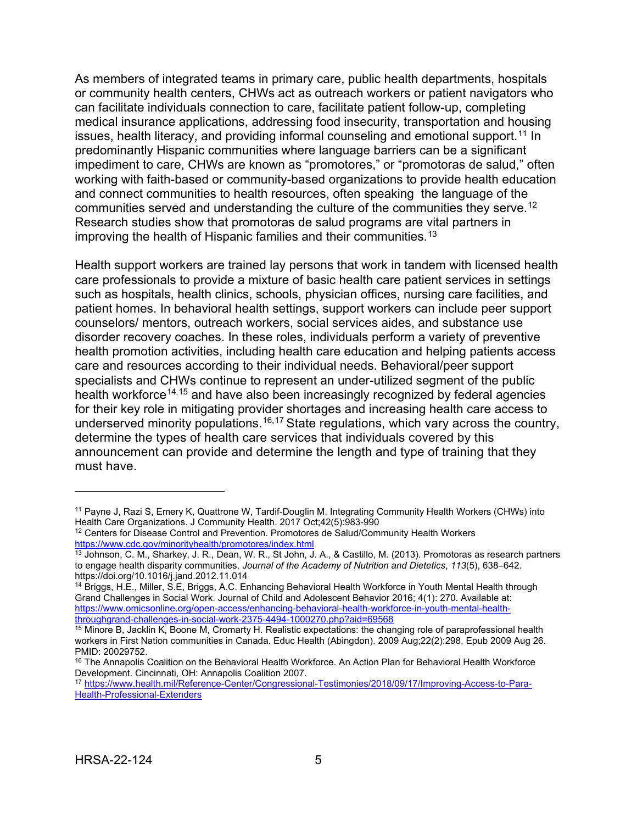As members of integrated teams in primary care, public health departments, hospitals or community health centers, CHWs act as outreach workers or patient navigators who can facilitate individuals connection to care, facilitate patient follow-up, completing medical insurance applications, addressing food insecurity, transportation and housing issues, health literacy, and providing informal counseling and emotional support.<sup>[11](#page-8-0)</sup> In predominantly Hispanic communities where language barriers can be a significant impediment to care, CHWs are known as "promotores," or "promotoras de salud," often working with faith-based or community-based organizations to provide health education and connect communities to health resources, often speaking the language of the communities served and understanding the culture of the communities they serve.[12](#page-8-1) Research studies show that promotoras de salud programs are vital partners in improving the health of Hispanic families and their communities.<sup>[13](#page-8-2)</sup>

Health support workers are trained lay persons that work in tandem with licensed health care professionals to provide a mixture of basic health care patient services in settings such as hospitals, health clinics, schools, physician offices, nursing care facilities, and patient homes. In behavioral health settings, support workers can include peer support counselors/ mentors, outreach workers, social services aides, and substance use disorder recovery coaches. In these roles, individuals perform a variety of preventive health promotion activities, including health care education and helping patients access care and resources according to their individual needs. Behavioral/peer support specialists and CHWs continue to represent an under-utilized segment of the public health workforce<sup>[14](#page-8-3),[15](#page-8-4)</sup> and have also been increasingly recognized by federal agencies for their key role in mitigating provider shortages and increasing health care access to underserved minority populations.<sup>[16](#page-8-5),[17](#page-8-6)</sup> State regulations, which vary across the country, determine the types of health care services that individuals covered by this announcement can provide and determine the length and type of training that they must have.

<span id="page-8-0"></span><sup>&</sup>lt;sup>11</sup> Payne J, Razi S, Emery K, Quattrone W, Tardif-Douglin M. Integrating Community Health Workers (CHWs) into Health Care Organizations. J Community Health 2017 Oct: 42(5):983-990

<span id="page-8-1"></span> $12$  Centers for Disease Control and Prevention. Promotores de Salud/Community Health Workers <https://www.cdc.gov/minorityhealth/promotores/index.html>

<span id="page-8-2"></span> $13$  Johnson, C. M., Sharkey, J. R., Dean, W. R., St John, J. A., & Castillo, M. (2013). Promotoras as research partners to engage health disparity communities. *Journal of the Academy of Nutrition and Dietetics*, *113*(5), 638–642.

<span id="page-8-3"></span><sup>&</sup>lt;sup>14</sup> Briggs, H.E., Miller, S.E, Briggs, A.C. Enhancing Behavioral Health Workforce in Youth Mental Health through Grand Challenges in Social Work. Journal of Child and Adolescent Behavior 2016; 4(1): 270. Available at: [https://www.omicsonline.org/open-access/enhancing-behavioral-health-workforce-in-youth-mental-health](https://www.omicsonline.org/open-access/enhancing-behavioral-health-workforce-in-youth-mental-health-throughgrand-challenges-in-social-work-2375-4494-1000270.php?aid=69568)[throughgrand-challenges-in-social-work-2375-4494-1000270.php?aid=69568](https://www.omicsonline.org/open-access/enhancing-behavioral-health-workforce-in-youth-mental-health-throughgrand-challenges-in-social-work-2375-4494-1000270.php?aid=69568)

<span id="page-8-4"></span><sup>&</sup>lt;sup>15</sup> Minore B, Jacklin K, Boone M, Cromarty H. Realistic expectations: the changing role of paraprofessional health workers in First Nation communities in Canada. Educ Health (Abingdon). 2009 Aug;22(2):298. Epub 2009 Aug 26. PMID: 20029752.

<span id="page-8-5"></span><sup>&</sup>lt;sup>16</sup> The Annapolis Coalition on the Behavioral Health Workforce. An Action Plan for Behavioral Health Workforce Development. Cincinnati, OH: Annapolis Coalition 2007.<br><sup>17</sup> [https://www.health.mil/Reference-Center/Congressional-Testimonies/2018/09/17/Improving-Access-to-Para-](https://www.health.mil/Reference-Center/Congressional-Testimonies/2018/09/17/Improving-Access-to-Para-Health-Professional-Extenders)

<span id="page-8-6"></span>[Health-Professional-Extenders](https://www.health.mil/Reference-Center/Congressional-Testimonies/2018/09/17/Improving-Access-to-Para-Health-Professional-Extenders)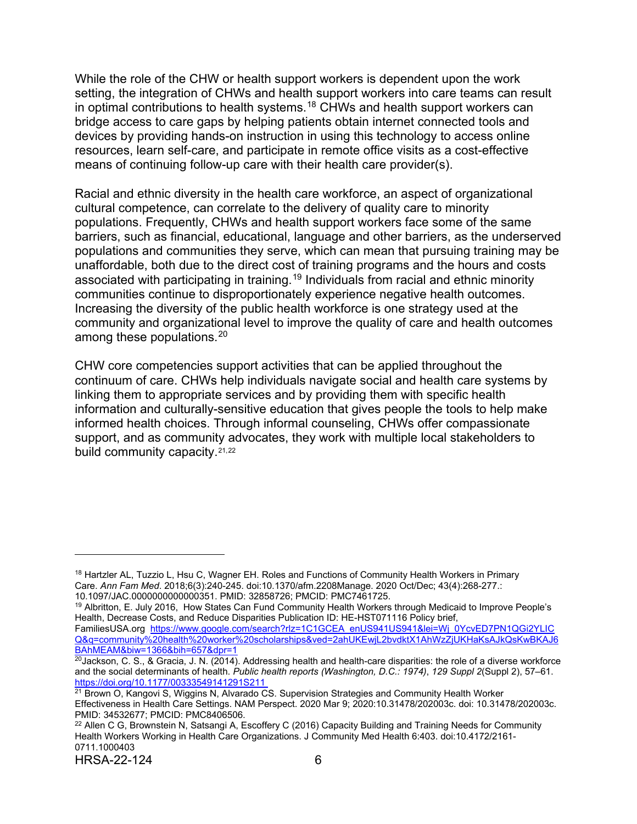While the role of the CHW or health support workers is dependent upon the work setting, the integration of CHWs and health support workers into care teams can result in optimal contributions to health systems.<sup>[18](#page-9-0)</sup> CHWs and health support workers can bridge access to care gaps by helping patients obtain internet connected tools and devices by providing hands-on instruction in using this technology to access online resources, learn self-care, and participate in remote office visits as a cost-effective means of continuing follow-up care with their health care provider(s).

Racial and ethnic diversity in the health care workforce, an aspect of organizational cultural competence, can correlate to the delivery of quality care to minority populations. Frequently, CHWs and health support workers face some of the same barriers, such as financial, educational, language and other barriers, as the underserved populations and communities they serve, which can mean that pursuing training may be unaffordable, both due to the direct cost of training programs and the hours and costs associated with participating in training.<sup>[19](#page-9-1)</sup> Individuals from racial and ethnic minority communities continue to disproportionately experience negative health outcomes. Increasing the diversity of the public health workforce is one strategy used at the community and organizational level to improve the quality of care and health outcomes among these populations. [20](#page-9-2)

CHW core competencies support activities that can be applied throughout the continuum of care. CHWs help individuals navigate social and health care systems by linking them to appropriate services and by providing them with specific health information and culturally-sensitive education that gives people the tools to help make informed health choices. Through informal counseling, CHWs offer compassionate support, and as community advocates, they work with multiple local stakeholders to build community capacity.<sup>[21](#page-9-3),[22](#page-9-4)</sup>

<span id="page-9-0"></span><sup>&</sup>lt;sup>18</sup> Hartzler AL, Tuzzio L, Hsu C, Wagner EH. Roles and Functions of Community Health Workers in Primary Care. *Ann Fam Med*. 2018;6(3):240-245. doi:10.1370/afm.2208Manage. 2020 Oct/Dec; 43(4):268-277.: 10.1097/JAC.0000000000000351. PMID: 32858726; PMCID: PMC7461725.

<span id="page-9-1"></span><sup>&</sup>lt;sup>19</sup> Albritton, E. July 2016, How States Can Fund Community Health Workers through Medicaid to Improve People's Health, Decrease Costs, and Reduce Disparities Publication ID: HE-HST071116 Policy brief,

FamiliesUSA.org [https://www.google.com/search?rlz=1C1GCEA\\_enUS941US941&lei=Wj\\_0YcvED7PN1QGi2YLIC](https://www.google.com/search?rlz=1C1GCEA_enUS941US941&lei=Wj_0YcvED7PN1QGi2YLICQ&q=community%20health%20worker%20scholarships&ved=2ahUKEwjL2bvdktX1AhWzZjUKHaKsAJkQsKwBKAJ6BAhMEAM&biw=1366&bih=657&dpr=1) [Q&q=community%20health%20worker%20scholarships&ved=2ahUKEwjL2bvdktX1AhWzZjUKHaKsAJkQsKwBKAJ6](https://www.google.com/search?rlz=1C1GCEA_enUS941US941&lei=Wj_0YcvED7PN1QGi2YLICQ&q=community%20health%20worker%20scholarships&ved=2ahUKEwjL2bvdktX1AhWzZjUKHaKsAJkQsKwBKAJ6BAhMEAM&biw=1366&bih=657&dpr=1) [BAhMEAM&biw=1366&bih=657&dpr=1](https://www.google.com/search?rlz=1C1GCEA_enUS941US941&lei=Wj_0YcvED7PN1QGi2YLICQ&q=community%20health%20worker%20scholarships&ved=2ahUKEwjL2bvdktX1AhWzZjUKHaKsAJkQsKwBKAJ6BAhMEAM&biw=1366&bih=657&dpr=1)

<span id="page-9-2"></span> $20$ Jackson, C. S., & Gracia, J. N. (2014). Addressing health and health-care disparities: the role of a diverse workforce and the social determinants of health. *Public health reports (Washington, D.C.: 1974)*, *129 Suppl 2*(Suppl 2), 57–61.

<span id="page-9-3"></span> $\frac{1}{21}$  Brown O, Kangovi S, Wiggins N, Alvarado CS. Supervision Strategies and Community Health Worker Effectiveness in Health Care Settings. NAM Perspect. 2020 Mar 9; 2020:10.31478/202003c. doi: 10.31478/202003c. PMID: 34532677; PMCID: PMC8406506.

<span id="page-9-4"></span>HRSA-22-124 6 <sup>22</sup> Allen C G, Brownstein N, Satsangi A, Escoffery C (2016) Capacity Building and Training Needs for Community Health Workers Working in Health Care Organizations. J Community Med Health 6:403. doi:10.4172/2161- 0711.1000403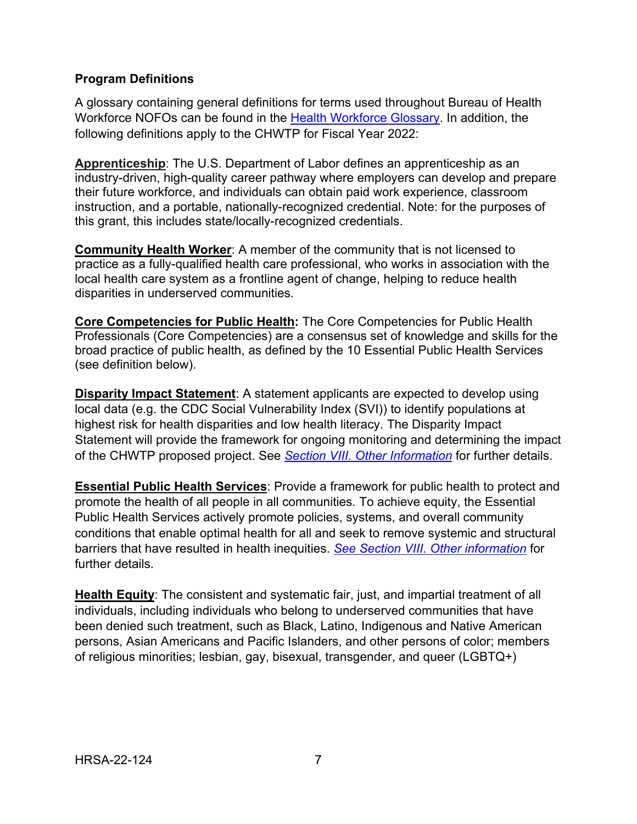## **Program Definitions**

A glossary containing general definitions for terms used throughout Bureau of Health Workforce NOFOs can be found in the [Health Workforce Glossary.](https://bhw.hrsa.gov/grants/resourcecenter/glossary) In addition, the following definitions apply to the CHWTP for Fiscal Year 2022:

**Apprenticeship**: The U.S. Department of Labor defines an apprenticeship as an industry-driven, high-quality career pathway where employers can develop and prepare their future workforce, and individuals can obtain paid work experience, classroom instruction, and a portable, nationally-recognized credential. Note: for the purposes of this grant, this includes state/locally-recognized credentials.

**Community Health Worker**: A member of the community that is not licensed to practice as a fully-qualified health care professional, who works in association with the local health care system as a frontline agent of change, helping to reduce health disparities in underserved communities.

**Core Competencies for Public Health:** The [Core Competencies for Public Health](https://www.phf.org/resourcestools/Documents/Core_Competencies_for_Public_Health_Professionals_2021October.pdf)  [Professionals](https://www.phf.org/resourcestools/Documents/Core_Competencies_for_Public_Health_Professionals_2021October.pdf) (Core Competencies) are a consensus set of knowledge and skills for the broad practice of public health, as defined by the [10 Essential Public Health Services](https://www.cdc.gov/publichealthgateway/publichealthservices/essentialhealthservices.html) (see definition below).

**Disparity Impact Statement:** A statement applicants are expected to develop using local data (e.g. the CDC Social Vulnerability Index (SVI)) to identify populations at highest risk for health disparities and low health literacy. The Disparity Impact Statement will provide the framework for ongoing monitoring and determining the impact of the CHWTP proposed project. See *[Section VIII. Other Information](#page-52-1)* for further details.

**Essential Public Health Services**: Provide a framework for public health to protect and promote the health of all people in all communities*.* To achieve equity, the Essential Public Health Services actively promote policies, systems, and overall community conditions that enable optimal health for all and seek to remove systemic and structural barriers that have resulted in health inequities. *[See Section VIII. Other information](#page-52-1)* for further details.

**Health Equity**: The consistent and systematic fair, just, and impartial treatment of all individuals, including individuals who belong to underserved communities that have been denied such treatment, such as Black, Latino, Indigenous and Native American persons, Asian Americans and Pacific Islanders, and other persons of color; members of religious minorities; lesbian, gay, bisexual, transgender, and queer (LGBTQ+)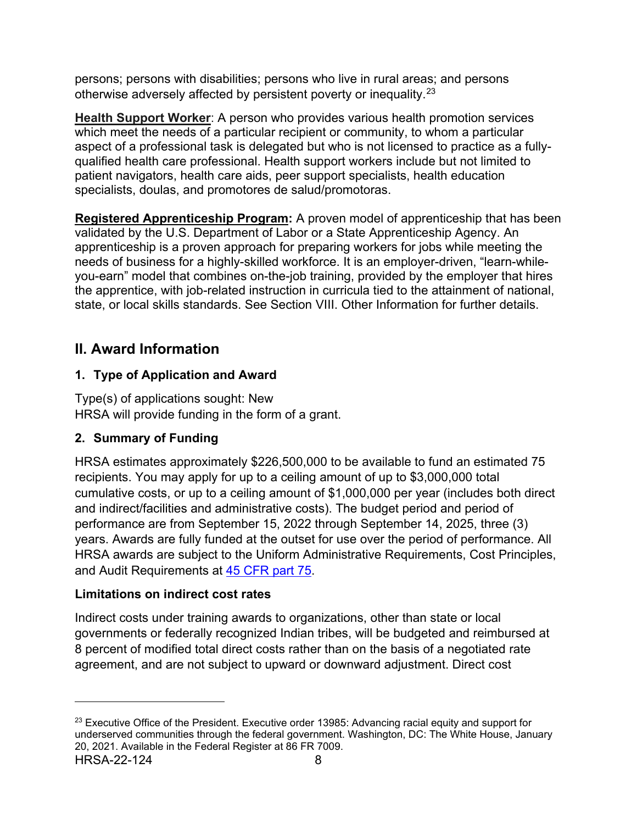persons; persons with disabilities; persons who live in rural areas; and persons otherwise adversely affected by persistent poverty or inequality.[23](#page-11-4)

**Health Support Worker**: A person who provides various health promotion services which meet the needs of a particular recipient or community, to whom a particular aspect of a professional task is delegated but who is not licensed to practice as a fullyqualified health care professional. Health support workers include but not limited to patient navigators, health care aids, peer support specialists, health education specialists, doulas, and promotores de salud/promotoras.

**Registered Apprenticeship Program:** A proven model of apprenticeship that has been validated by the U.S. Department of Labor or a State Apprenticeship Agency. An apprenticeship is a proven approach for preparing workers for jobs while meeting the needs of business for a highly-skilled workforce. It is an employer-driven, "learn-whileyou-earn" model that combines on-the-job training, provided by the employer that hires the apprentice, with job-related instruction in curricula tied to the attainment of national, state, or local skills standards. See [Section VIII. Other Information](#page-52-1) for further details.

## <span id="page-11-0"></span>**II. Award Information**

## <span id="page-11-1"></span>**1. Type of Application and Award**

<span id="page-11-2"></span>Type(s) of applications sought: New HRSA will provide funding in the form of a grant.

## <span id="page-11-3"></span>**2. Summary of Funding**

HRSA estimates approximately \$226,500,000 to be available to fund an estimated 75 recipients. You may apply for up to a ceiling amount of up to \$3,000,000 total cumulative costs, or up to a ceiling amount of \$1,000,000 per year (includes both direct and indirect/facilities and administrative costs). The budget period and period of performance are from September 15, 2022 through September 14, 2025, three (3) years. Awards are fully funded at the outset for use over the period of performance. All HRSA awards are subject to the Uniform Administrative Requirements, Cost Principles, and Audit Requirements at [45 CFR part 75.](http://www.ecfr.gov/cgi-bin/retrieveECFR?gp=1&SID=4d52364ec83fab994c665943dadf9cf7&ty=HTML&h=L&r=PART&n=pt45.1.75)

## **Limitations on indirect cost rates**

Indirect costs under training awards to organizations, other than state or local governments or federally recognized Indian tribes, will be budgeted and reimbursed at 8 percent of modified total direct costs rather than on the basis of a negotiated rate agreement, and are not subject to upward or downward adjustment. Direct cost

<span id="page-11-4"></span>HRSA-22-124 8  $23$  Executive Office of the President. Executive order 13985: Advancing racial equity and support for underserved communities through the federal government. Washington, DC: The White House, January 20, 2021. Available in the Federal Register at 86 FR 7009.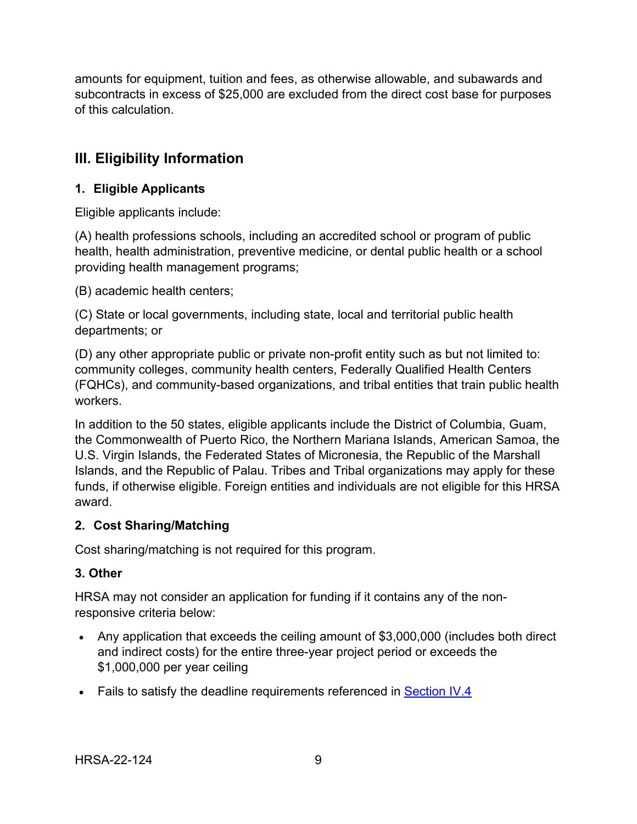amounts for equipment, tuition and fees, as otherwise allowable, and subawards and subcontracts in excess of \$25,000 are excluded from the direct cost base for purposes of this calculation.

## <span id="page-12-1"></span>**III. Eligibility Information**

## <span id="page-12-0"></span>**1. Eligible Applicants**

Eligible applicants include:

(A) health professions schools, including an accredited school or program of public health, health administration, preventive medicine, or dental public health or a school providing health management programs;

(B) academic health centers;

(C) State or local governments, including state, local and territorial public health departments; or

(D) any other appropriate public or private non-profit entity such as but not limited to: community colleges, community health centers, Federally Qualified Health Centers (FQHCs), and community-based organizations, and tribal entities that train public health workers.

In addition to the 50 states, eligible applicants include the District of Columbia, Guam, the Commonwealth of Puerto Rico, the Northern Mariana Islands, American Samoa, the U.S. Virgin Islands, the Federated States of Micronesia, the Republic of the Marshall Islands, and the Republic of Palau. Tribes and Tribal organizations may apply for these funds, if otherwise eligible. Foreign entities and individuals are not eligible for this HRSA award.

## <span id="page-12-2"></span>**2. Cost Sharing/Matching**

Cost sharing/matching is not required for this program.

## <span id="page-12-3"></span>**3. Other**

HRSA may not consider an application for funding if it contains any of the nonresponsive criteria below:

- Any application that exceeds the ceiling amount of \$3,000,000 (includes both direct and indirect costs) for the entire three-year project period or exceeds the \$1,000,000 per year ceiling
- Fails to satisfy the deadline requirements referenced in [Section IV.4](#page-35-0)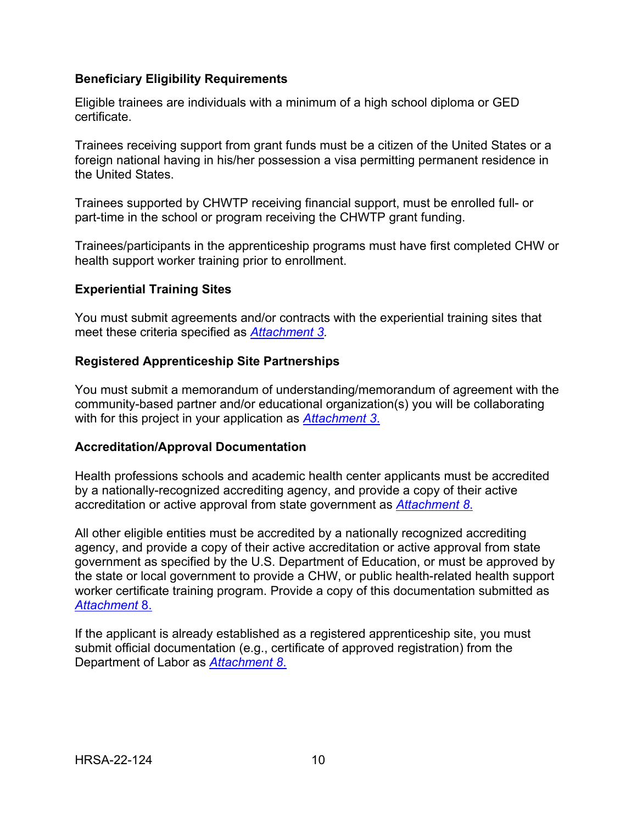#### **Beneficiary Eligibility Requirements**

Eligible trainees are individuals with a minimum of a high school diploma or GED certificate.

Trainees receiving support from grant funds must be a citizen of the United States or a foreign national having in his/her possession a visa permitting permanent residence in the United States.

Trainees supported by CHWTP receiving financial support, must be enrolled full- or part-time in the school or program receiving the CHWTP grant funding.

Trainees/participants in the apprenticeship programs must have first completed CHW or health support worker training prior to enrollment.

#### **Experiential Training Sites**

You must submit agreements and/or contracts with the experiential training sites that meet these criteria specified as *[Attachment 3.](#page-32-2)*

#### **Registered Apprenticeship Site Partnerships**

You must submit a memorandum of understanding/memorandum of agreement with the community-based partner and/or educational organization(s) you will be collaborating with for this project in your application as *[Attachment 3](#page-32-2)*.

#### **Accreditation/Approval Documentation**

Health professions schools and academic health center applicants must be accredited by a nationally-recognized accrediting agency, and provide a copy of their active accreditation or active approval from state government as *[Attachment 8](#page-33-0)*.

All other eligible entities must be accredited by a nationally recognized accrediting agency, and provide a copy of their active accreditation or active approval from state government as specified by the U.S. Department of Education, or must be approved by the state or local government to provide a CHW, or public health-related health support worker certificate training program. Provide a copy of this documentation submitted as *[Attachment](#page-33-0)* 8.

If the applicant is already established as a registered apprenticeship site, you must submit official documentation (e.g., certificate of approved registration) from the Department of Labor as *[Attachment 8](#page-33-0)*.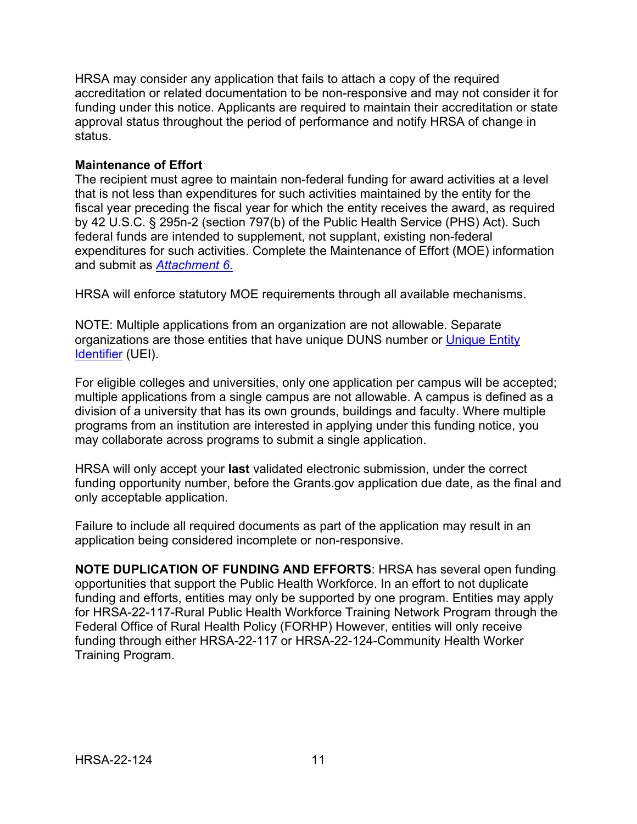HRSA may consider any application that fails to attach a copy of the required accreditation or related documentation to be non-responsive and may not consider it for funding under this notice. Applicants are required to maintain their accreditation or state approval status throughout the period of performance and notify HRSA of change in status.

#### **Maintenance of Effort**

The recipient must agree to maintain non-federal funding for award activities at a level that is not less than expenditures for such activities maintained by the entity for the fiscal year preceding the fiscal year for which the entity receives the award, as required by 42 U.S.C. § 295n-2 (section 797(b) of the Public Health Service (PHS) Act). Such federal funds are intended to supplement, not supplant, existing non-federal expenditures for such activities. Complete the Maintenance of Effort (MOE) information and submit as *[Attachment 6](#page-33-1)*.

HRSA will enforce statutory MOE requirements through all available mechanisms.

NOTE: Multiple applications from an organization are not allowable. Separate organizations are those entities that have unique DUNS number or [Unique Entity](https://www.gsa.gov/about-us/organization/federal-acquisition-service/office-of-systems-management/integrated-award-environment-iae/iae-information-kit/unique-entity-identifier-update)  [Identifier](https://www.gsa.gov/about-us/organization/federal-acquisition-service/office-of-systems-management/integrated-award-environment-iae/iae-information-kit/unique-entity-identifier-update) (UEI).

For eligible colleges and universities, only one application per campus will be accepted; multiple applications from a single campus are not allowable. A campus is defined as a division of a university that has its own grounds, buildings and faculty. Where multiple programs from an institution are interested in applying under this funding notice, you may collaborate across programs to submit a single application.

HRSA will only accept your **last** validated electronic submission, under the correct funding opportunity number, before the Grants.gov application due date, as the final and only acceptable application.

Failure to include all required documents as part of the application may result in an application being considered incomplete or non-responsive.

**NOTE DUPLICATION OF FUNDING AND EFFORTS**: HRSA has several open funding opportunities that support the Public Health Workforce. In an effort to not duplicate funding and efforts, entities may only be supported by one program. Entities may apply for HRSA-22-117-Rural Public Health Workforce Training Network Program through the Federal Office of Rural Health Policy (FORHP) However, entities will only receive funding through either HRSA-22-117 or HRSA-22-124-Community Health Worker Training Program.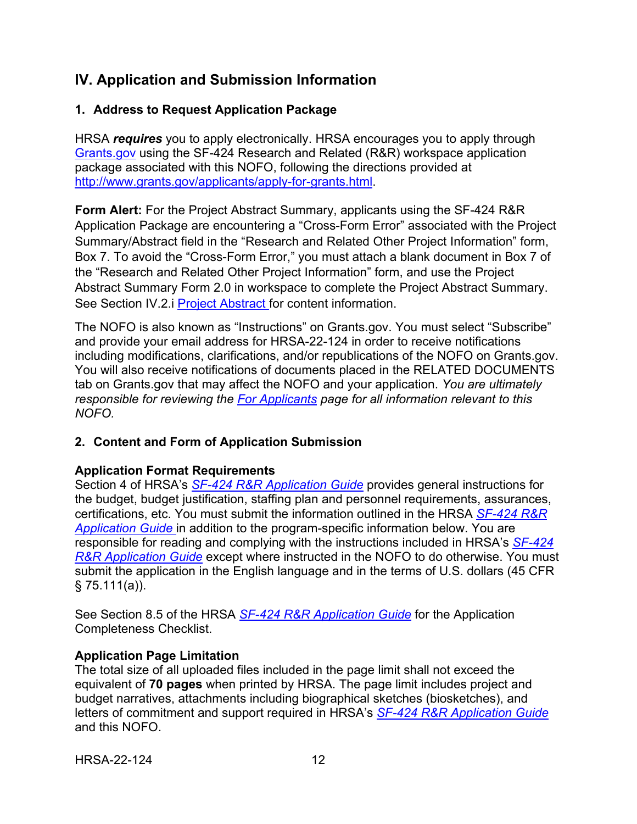## <span id="page-15-0"></span>**IV. Application and Submission Information**

## <span id="page-15-1"></span>**1. Address to Request Application Package**

HRSA *requires* you to apply electronically. HRSA encourages you to apply through [Grants.gov](https://www.grants.gov/) using the SF-424 Research and Related (R&R) workspace application package associated with this NOFO, following the directions provided at [http://www.grants.gov/applicants/apply-for-grants.html.](http://www.grants.gov/applicants/apply-for-grants.html)

<span id="page-15-3"></span>**Form Alert:** For the Project Abstract Summary, applicants using the SF-424 R&R Application Package are encountering a "Cross-Form Error" associated with the Project Summary/Abstract field in the "Research and Related Other Project Information" form, Box 7. To avoid the "Cross-Form Error," you must attach a blank document in Box 7 of the "Research and Related Other Project Information" form, and use the Project Abstract Summary Form 2.0 in workspace to complete the Project Abstract Summary. See Section IV.2.i [Project Abstract f](#page-20-0)or content information.

The NOFO is also known as "Instructions" on Grants.gov. You must select "Subscribe" and provide your email address for HRSA-22-124 in order to receive notifications including modifications, clarifications, and/or republications of the NOFO on Grants.gov. You will also receive notifications of documents placed in the RELATED DOCUMENTS tab on Grants.gov that may affect the NOFO and your application. *You are ultimately responsible for reviewing the [For Applicants](https://www.grants.gov/web/grants/applicants.html) page for all information relevant to this NOFO.* 

## <span id="page-15-2"></span>**2. Content and Form of Application Submission**

## **Application Format Requirements**

Section 4 of HRSA's *SF-424 R&R [Application Guide](http://www.hrsa.gov/grants/apply/applicationguide/sf424rrguidev2.pdf)* provides general instructions for the budget, budget justification, staffing plan and personnel requirements, assurances, certifications, etc. You must submit the information outlined in the HRSA *[SF-424](http://www.hrsa.gov/grants/apply/applicationguide/sf424rrguidev2.pdf) R&R [Application Guide](http://www.hrsa.gov/grants/apply/applicationguide/sf424rrguidev2.pdf)* in addition to the program-specific information below. You are responsible for reading and complying with the instructions included in HRSA's *[SF-424](http://www.hrsa.gov/grants/apply/applicationguide/sf424rrguidev2.pdf) R&R [Application Guide](http://www.hrsa.gov/grants/apply/applicationguide/sf424rrguidev2.pdf)* except where instructed in the NOFO to do otherwise. You must submit the application in the English language and in the terms of U.S. dollars (45 CFR  $§ 75.111(a)$ ).

See Section 8.5 of the HRSA *SF-424 R&R [Application Guide](http://www.hrsa.gov/grants/apply/applicationguide/sf424rrguidev2.pdf)* for the Application Completeness Checklist.

#### **Application Page Limitation**

The total size of all uploaded files included in the page limit shall not exceed the equivalent of **70 pages** when printed by HRSA. The page limit includes project and budget narratives, attachments including biographical sketches (biosketches), and letters of commitment and support required in HRSA's *SF-424 R&R [Application Guide](http://www.hrsa.gov/grants/apply/applicationguide/sf424rrguidev2.pdf)* and this NOFO.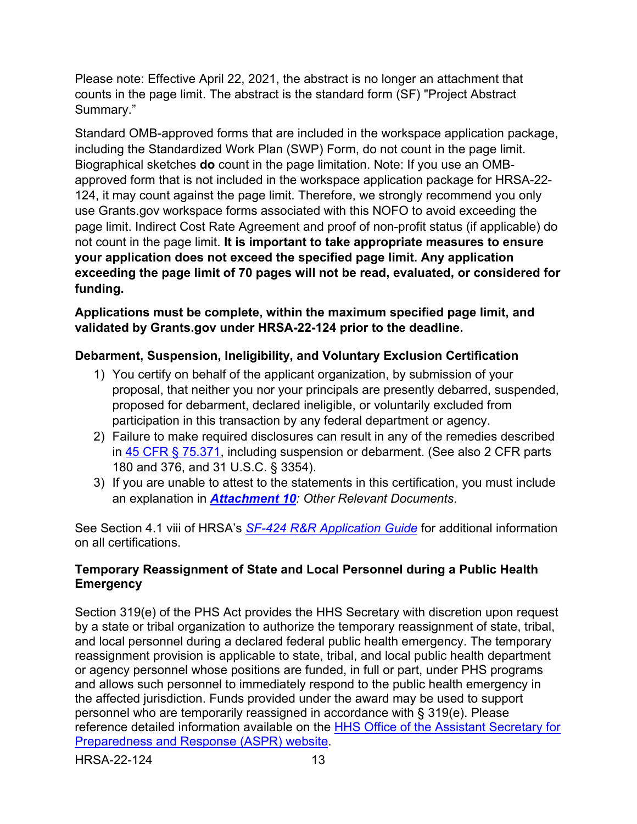Please note: Effective April 22, 2021, the abstract is no longer an attachment that counts in the page limit. The abstract is the standard form (SF) "Project Abstract Summary."

Standard OMB-approved forms that are included in the workspace application package, including the Standardized Work Plan (SWP) Form, do not count in the page limit. Biographical sketches **do** count in the page limitation. Note: If you use an OMBapproved form that is not included in the workspace application package for HRSA-22- 124, it may count against the page limit. Therefore, we strongly recommend you only use Grants.gov workspace forms associated with this NOFO to avoid exceeding the page limit. Indirect Cost Rate Agreement and proof of non-profit status (if applicable) do not count in the page limit. **It is important to take appropriate measures to ensure your application does not exceed the specified page limit. Any application exceeding the page limit of 70 pages will not be read, evaluated, or considered for funding.**

**Applications must be complete, within the maximum specified page limit, and validated by Grants.gov under HRSA-22-124 prior to the deadline.** 

## **Debarment, Suspension, Ineligibility, and Voluntary Exclusion Certification**

- 1) You certify on behalf of the applicant organization, by submission of your proposal, that neither you nor your principals are presently debarred, suspended, proposed for debarment, declared ineligible, or voluntarily excluded from participation in this transaction by any federal department or agency.
- 2) Failure to make required disclosures can result in any of the remedies described in [45 CFR § 75.371,](https://www.ecfr.gov/cgi-bin/retrieveECFR?gp=1&SID=4d52364ec83fab994c665943dadf9cf7&ty=HTML&h=L&r=PART&n=pt45.1.75#se45.1.75_1371) including suspension or debarment. (See also 2 CFR parts 180 and 376, and 31 U.S.C. § 3354).
- 3) If you are unable to attest to the statements in this certification, you must include an explanation in *[Attachment 10](#page-34-1): Other Relevant Documents*.

See Section 4.1 viii of HRSA's *SF-424 R&R [Application Guide](http://www.hrsa.gov/grants/apply/applicationguide/sf424rrguidev2.pdf)* for additional information on all certifications.

## **Temporary Reassignment of State and Local Personnel during a Public Health Emergency**

<span id="page-16-0"></span>Section 319(e) of the PHS Act provides the HHS Secretary with discretion upon request by a state or tribal organization to authorize the temporary reassignment of state, tribal, and local personnel during a declared federal public health emergency. The temporary reassignment provision is applicable to state, tribal, and local public health department or agency personnel whose positions are funded, in full or part, under PHS programs and allows such personnel to immediately respond to the public health emergency in the affected jurisdiction. Funds provided under the award may be used to support personnel who are temporarily reassigned in accordance with § 319(e). Please reference detailed information available on the [HHS Office of the Assistant Secretary for](http://www.phe.gov/Preparedness/legal/pahpa/section201/Pages/default.aspx)  [Preparedness and Response \(ASPR\) website.](http://www.phe.gov/Preparedness/legal/pahpa/section201/Pages/default.aspx)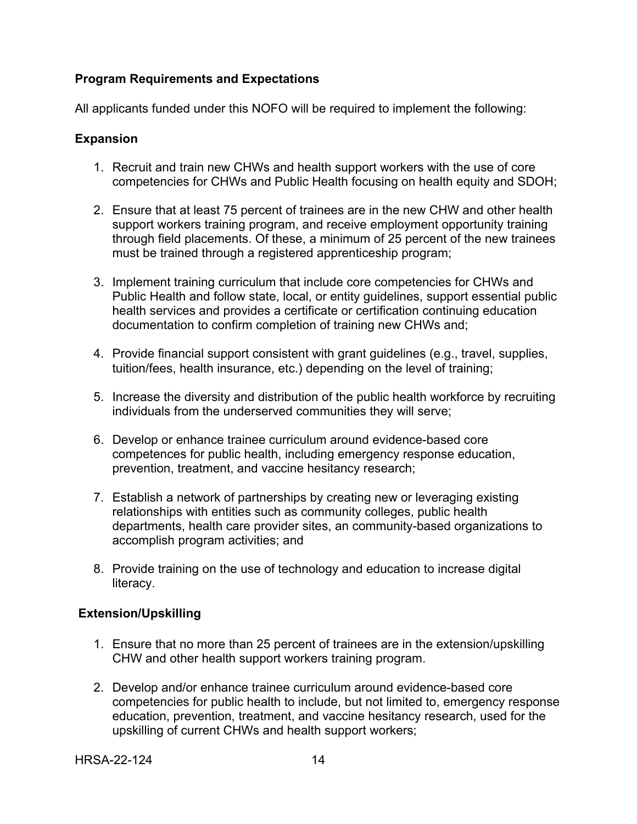## **Program Requirements and Expectations**

All applicants funded under this NOFO will be required to implement the following:

#### **Expansion**

- 1. Recruit and train new CHWs and health support workers with the use of core competencies for CHWs and Public Health focusing on health equity and SDOH;
- 2. Ensure that at least 75 percent of trainees are in the new CHW and other health support workers training program, and receive employment opportunity training through field placements. Of these, a minimum of 25 percent of the new trainees must be trained through a registered apprenticeship program;
- 3. Implement training curriculum that include core competencies for CHWs and Public Health and follow state, local, or entity guidelines, support essential public health services and provides a certificate or certification continuing education documentation to confirm completion of training new CHWs and;
- 4. Provide financial support consistent with grant guidelines (e.g., travel, supplies, tuition/fees, health insurance, etc.) depending on the level of training;
- 5. Increase the diversity and distribution of the public health workforce by recruiting individuals from the underserved communities they will serve;
- 6. Develop or enhance trainee curriculum around evidence-based core competences for public health, including emergency response education, prevention, treatment, and vaccine hesitancy research;
- 7. Establish a network of partnerships by creating new or leveraging existing relationships with entities such as community colleges, public health departments, health care provider sites, an community-based organizations to accomplish program activities; and
- 8. Provide training on the use of technology and education to increase digital literacy.

## **Extension/Upskilling**

- 1. Ensure that no more than 25 percent of trainees are in the extension/upskilling CHW and other health support workers training program.
- 2. Develop and/or enhance trainee curriculum around evidence-based core competencies for public health to include, but not limited to, emergency response education, prevention, treatment, and vaccine hesitancy research, used for the upskilling of current CHWs and health support workers;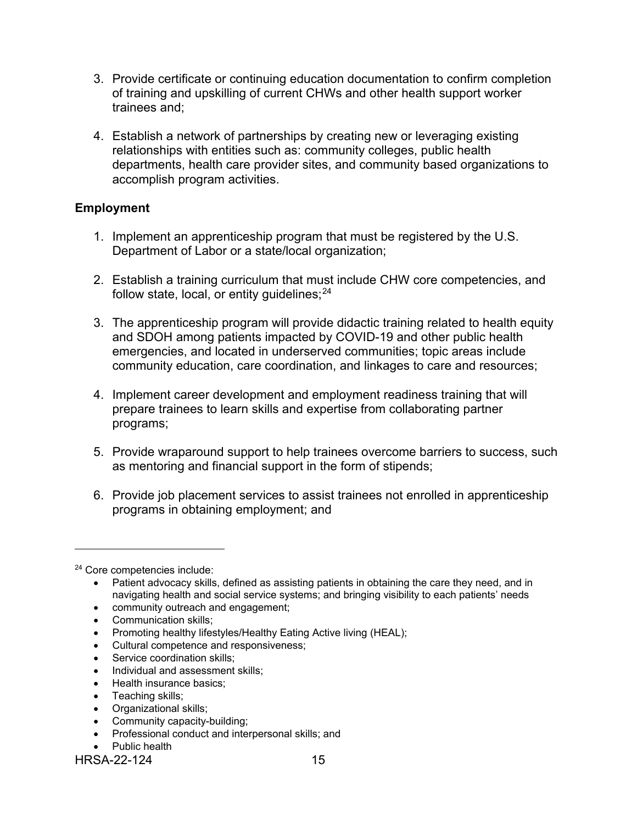- 3. Provide certificate or continuing education documentation to confirm completion of training and upskilling of current CHWs and other health support worker trainees and;
- 4. Establish a network of partnerships by creating new or leveraging existing relationships with entities such as: community colleges, public health departments, health care provider sites, and community based organizations to accomplish program activities.

#### **Employment**

- 1. Implement an apprenticeship program that must be registered by the U.S. Department of Labor or a state/local organization;
- 2. Establish a training curriculum that must include CHW core competencies, and follow state, local, or entity guidelines; [24](#page-18-0)
- 3. The apprenticeship program will provide didactic training related to health equity and SDOH among patients impacted by COVID-19 and other public health emergencies, and located in underserved communities; topic areas include community education, care coordination, and linkages to care and resources;
- 4. Implement career development and employment readiness training that will prepare trainees to learn skills and expertise from collaborating partner programs;
- 5. Provide wraparound support to help trainees overcome barriers to success, such as mentoring and financial support in the form of stipends;
- 6. Provide job placement services to assist trainees not enrolled in apprenticeship programs in obtaining employment; and

 $\overline{a}$ 

- community outreach and engagement;
- Communication skills;
- Promoting healthy lifestyles/Healthy Eating Active living (HEAL);
- Cultural competence and responsiveness;
- Service coordination skills;
- Individual and assessment skills;
- Health insurance basics;
- Teaching skills;
- Organizational skills;
- Community capacity-building;
- Professional conduct and interpersonal skills; and
- Public health

<span id="page-18-0"></span><sup>24</sup> Core competencies include:

<sup>•</sup> Patient advocacy skills, defined as assisting patients in obtaining the care they need, and in navigating health and social service systems; and bringing visibility to each patients' needs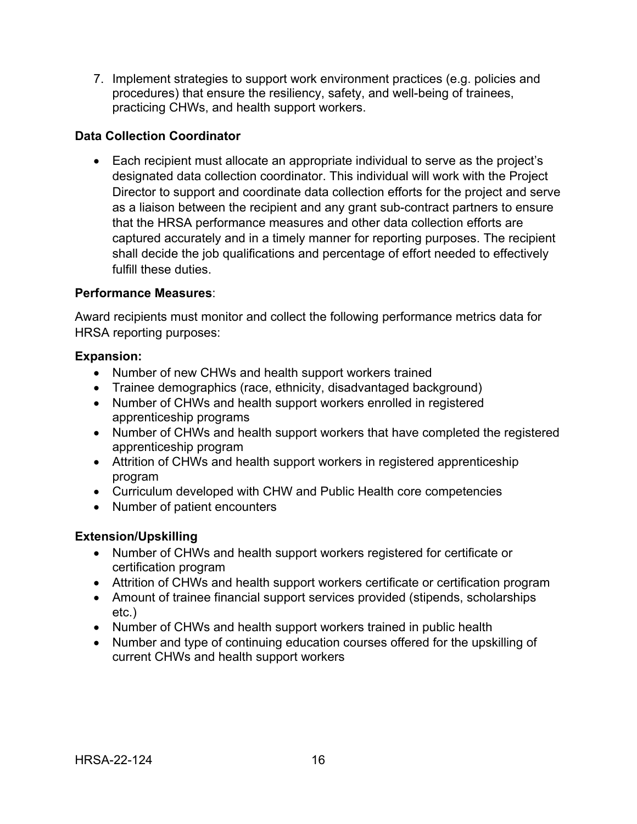7. Implement strategies to support work environment practices (e.g. policies and procedures) that ensure the resiliency, safety, and well-being of trainees, practicing CHWs, and health support workers.

## **Data Collection Coordinator**

• Each recipient must allocate an appropriate individual to serve as the project's designated data collection coordinator. This individual will work with the Project Director to support and coordinate data collection efforts for the project and serve as a liaison between the recipient and any grant sub-contract partners to ensure that the HRSA performance measures and other data collection efforts are captured accurately and in a timely manner for reporting purposes. The recipient shall decide the job qualifications and percentage of effort needed to effectively fulfill these duties.

## **Performance Measures**:

Award recipients must monitor and collect the following performance metrics data for HRSA reporting purposes:

#### **Expansion:**

- Number of new CHWs and health support workers trained
- Trainee demographics (race, ethnicity, disadvantaged background)
- Number of CHWs and health support workers enrolled in registered apprenticeship programs
- Number of CHWs and health support workers that have completed the registered apprenticeship program
- Attrition of CHWs and health support workers in registered apprenticeship program
- Curriculum developed with CHW and Public Health core competencies
- Number of patient encounters

## **Extension/Upskilling**

- Number of CHWs and health support workers registered for certificate or certification program
- Attrition of CHWs and health support workers certificate or certification program
- Amount of trainee financial support services provided (stipends, scholarships etc.)
- Number of CHWs and health support workers trained in public health
- Number and type of continuing education courses offered for the upskilling of current CHWs and health support workers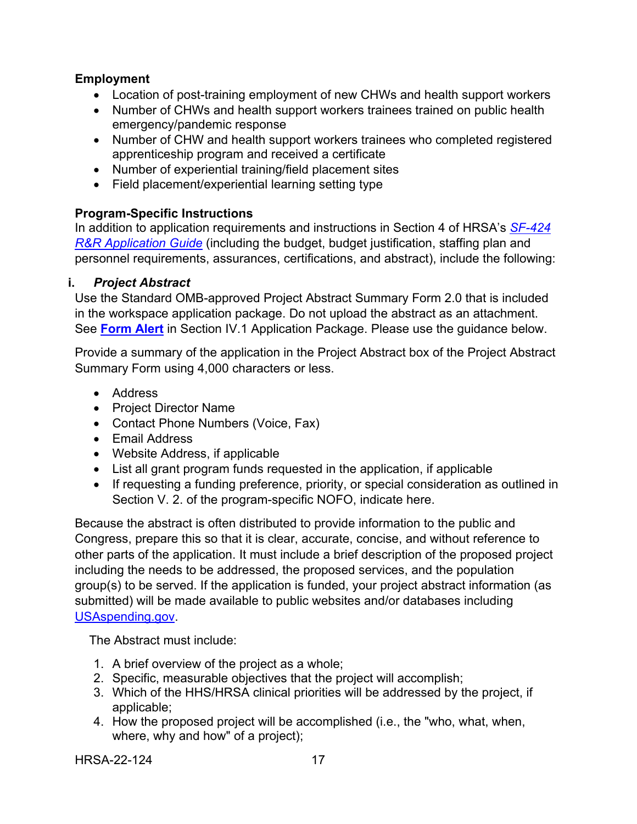## **Employment**

- Location of post-training employment of new CHWs and health support workers
- Number of CHWs and health support workers trainees trained on public health emergency/pandemic response
- Number of CHW and health support workers trainees who completed registered apprenticeship program and received a certificate
- Number of experiential training/field placement sites
- Field placement/experiential learning setting type

## **Program-Specific Instructions**

In addition to application requirements and instructions in Section 4 of HRSA's *[SF-424](http://www.hrsa.gov/grants/apply/applicationguide/sf424rrguidev2.pdf) R&R [Application Guide](http://www.hrsa.gov/grants/apply/applicationguide/sf424rrguidev2.pdf)* (including the budget, budget justification, staffing plan and personnel requirements, assurances, certifications, and abstract), include the following:

## <span id="page-20-0"></span>**i.** *Project Abstract*

Use the Standard OMB-approved Project Abstract Summary Form 2.0 that is included in the workspace application package. Do not upload the abstract as an attachment. See **[Form Alert](#page-15-3)** in Section IV.1 Application Package. Please use the guidance below.

Provide a summary of the application in the Project Abstract box of the Project Abstract Summary Form using 4,000 characters or less.

- Address
- Project Director Name
- Contact Phone Numbers (Voice, Fax)
- Email Address
- Website Address, if applicable
- List all grant program funds requested in the application, if applicable
- If requesting a funding preference, priority, or special consideration as outlined in Section V. 2. of the program-specific NOFO, indicate here.

Because the abstract is often distributed to provide information to the public and Congress, prepare this so that it is clear, accurate, concise, and without reference to other parts of the application. It must include a brief description of the proposed project including the needs to be addressed, the proposed services, and the population group(s) to be served. If the application is funded, your project abstract information (as submitted) will be made available to public websites and/or databases including [USAspending.gov.](http://www.usaspending.gov/)

The Abstract must include:

- 1. A brief overview of the project as a whole;
- 2. Specific, measurable objectives that the project will accomplish;
- 3. Which of the HHS/HRSA clinical priorities will be addressed by the project, if applicable;
- 4. How the proposed project will be accomplished (i.e., the "who, what, when, where, why and how" of a project);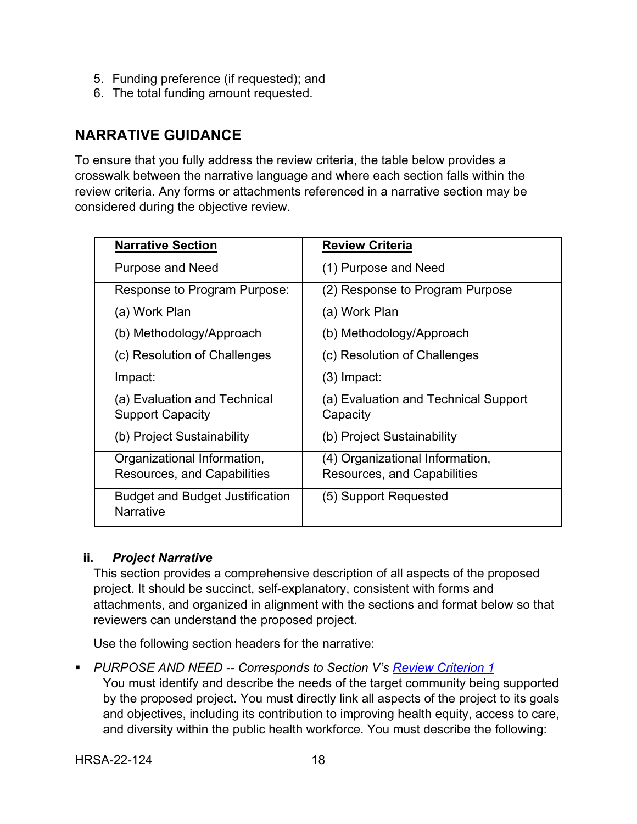- 5. Funding preference (if requested); and
- 6. The total funding amount requested.

## **NARRATIVE GUIDANCE**

To ensure that you fully address the review criteria, the table below provides a crosswalk between the narrative language and where each section falls within the review criteria. Any forms or attachments referenced in a narrative section may be considered during the objective review.

| <b>Narrative Section</b>                                          | <b>Review Criteria</b>                                         |
|-------------------------------------------------------------------|----------------------------------------------------------------|
| <b>Purpose and Need</b>                                           | (1) Purpose and Need                                           |
| Response to Program Purpose:                                      | (2) Response to Program Purpose                                |
| (a) Work Plan                                                     | (a) Work Plan                                                  |
| (b) Methodology/Approach                                          | (b) Methodology/Approach                                       |
| (c) Resolution of Challenges                                      | (c) Resolution of Challenges                                   |
| Impact:                                                           | $(3)$ Impact:                                                  |
| (a) Evaluation and Technical<br><b>Support Capacity</b>           | (a) Evaluation and Technical Support<br>Capacity               |
| (b) Project Sustainability                                        | (b) Project Sustainability                                     |
| Organizational Information,<br><b>Resources, and Capabilities</b> | (4) Organizational Information,<br>Resources, and Capabilities |
| <b>Budget and Budget Justification</b><br><b>Narrative</b>        | (5) Support Requested                                          |

## <span id="page-21-0"></span>**ii.** *Project Narrative*

This section provides a comprehensive description of all aspects of the proposed project. It should be succinct, self-explanatory, consistent with forms and attachments, and organized in alignment with the sections and format below so that reviewers can understand the proposed project.

Use the following section headers for the narrative:

<span id="page-21-1"></span>*PURPOSE AND NEED -- Corresponds to Section V's [Review Criterion 1](#page-37-2)* 

You must identify and describe the needs of the target community being supported by the proposed project. You must directly link all aspects of the project to its goals and objectives, including its contribution to improving health equity, access to care, and diversity within the public health workforce. You must describe the following: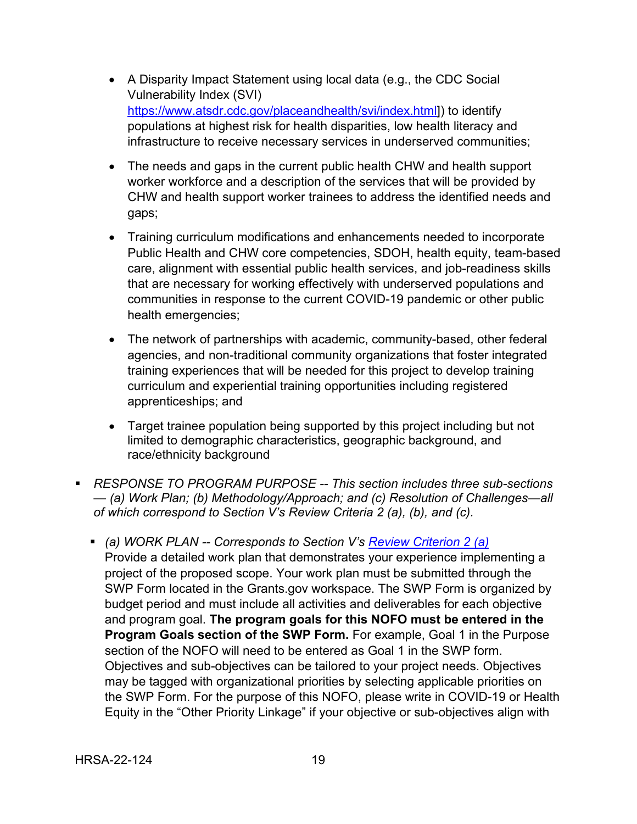- A Disparity Impact Statement using local data (e.g., the CDC Social Vulnerability Index (SVI) [https://www.atsdr.cdc.gov/placeandhealth/svi/index.html\]](https://www.atsdr.cdc.gov/placeandhealth/svi/index.html)) to identify populations at highest risk for health disparities, low health literacy and infrastructure to receive necessary services in underserved communities;
- The needs and gaps in the current public health CHW and health support worker workforce and a description of the services that will be provided by CHW and health support worker trainees to address the identified needs and gaps;
- Training curriculum modifications and enhancements needed to incorporate Public Health and CHW core competencies, SDOH, health equity, team-based care, alignment with essential public health services, and job-readiness skills that are necessary for working effectively with underserved populations and communities in response to the current COVID-19 pandemic or other public health emergencies;
- The network of partnerships with academic, community-based, other federal agencies, and non-traditional community organizations that foster integrated training experiences that will be needed for this project to develop training curriculum and experiential training opportunities including registered apprenticeships; and
- Target trainee population being supported by this project including but not limited to demographic characteristics, geographic background, and race/ethnicity background
- <span id="page-22-0"></span> *RESPONSE TO PROGRAM PURPOSE -- This section includes three sub-sections — (a) Work Plan; (b) Methodology/Approach; and (c) Resolution of Challenges—all of which correspond to Section V's Review Criteria 2 (a), (b), and (c).*
	- *(a) WORK PLAN -- Corresponds to Section V's [Review Criterion](#page-38-0) 2 (a)* Provide a detailed work plan that demonstrates your experience implementing a project of the proposed scope. Your work plan must be submitted through the SWP Form located in the Grants.gov workspace. The SWP Form is organized by budget period and must include all activities and deliverables for each objective and program goal. **The program goals for this NOFO must be entered in the Program Goals section of the SWP Form.** For example, Goal 1 in the Purpose section of the NOFO will need to be entered as Goal 1 in the SWP form. Objectives and sub-objectives can be tailored to your project needs. Objectives may be tagged with organizational priorities by selecting applicable priorities on the SWP Form. For the purpose of this NOFO, please write in COVID-19 or Health Equity in the "Other Priority Linkage" if your objective or sub-objectives align with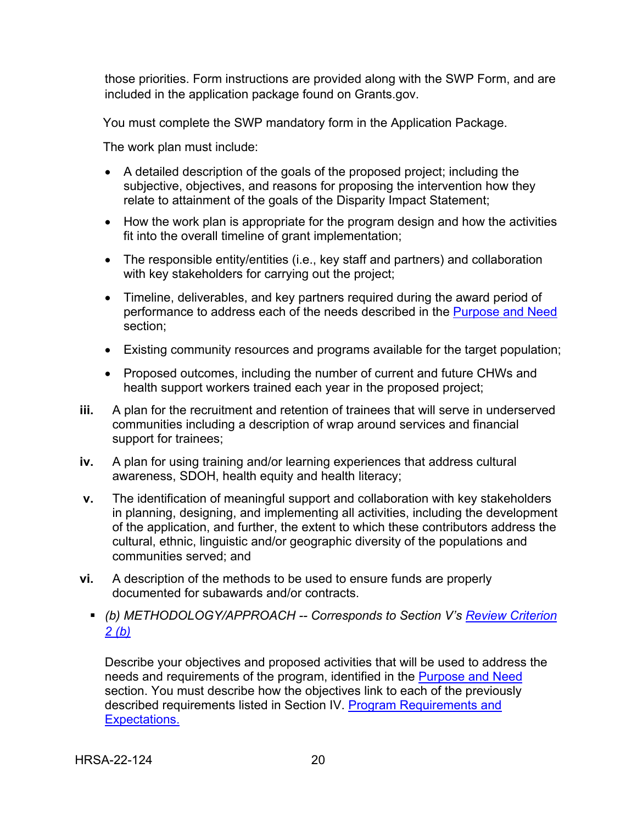those priorities. Form instructions are provided along with the SWP Form, and are included in the application package found on Grants.gov.

You must complete the SWP mandatory form in the Application Package.

The work plan must include:

- A detailed description of the goals of the proposed project; including the subjective, objectives, and reasons for proposing the intervention how they relate to attainment of the goals of the Disparity Impact Statement;
- How the work plan is appropriate for the program design and how the activities fit into the overall timeline of grant implementation;
- The responsible entity/entities (i.e., key staff and partners) and collaboration with key stakeholders for carrying out the project;
- Timeline, deliverables, and key partners required during the award period of performance to address each of the needs described in the [Purpose and Need](#page-21-1) section;
- Existing community resources and programs available for the target population;
- Proposed outcomes, including the number of current and future CHWs and health support workers trained each year in the proposed project;
- **iii.** A plan for the recruitment and retention of trainees that will serve in underserved communities including a description of wrap around services and financial support for trainees;
- **iv.** A plan for using training and/or learning experiences that address cultural awareness, SDOH, health equity and health literacy;
- **v.** The identification of meaningful support and collaboration with key stakeholders in planning, designing, and implementing all activities, including the development of the application, and further, the extent to which these contributors address the cultural, ethnic, linguistic and/or geographic diversity of the populations and communities served; and
- <span id="page-23-0"></span>**vi.** A description of the methods to be used to ensure funds are properly documented for subawards and/or contracts.
	- *(b) METHODOLOGY/APPROACH -- Corresponds to Section V's [Review Criterion](#page-39-0)  [2 \(b\)](#page-39-0)*

Describe your objectives and proposed activities that will be used to address the needs and requirements of the program, identified in the [Purpose and Need](#page-21-1) section. You must describe how the objectives link to each of the previously described requirements listed in Section IV. [Program Requirements and](#page-16-0)  [Expectations.](#page-16-0)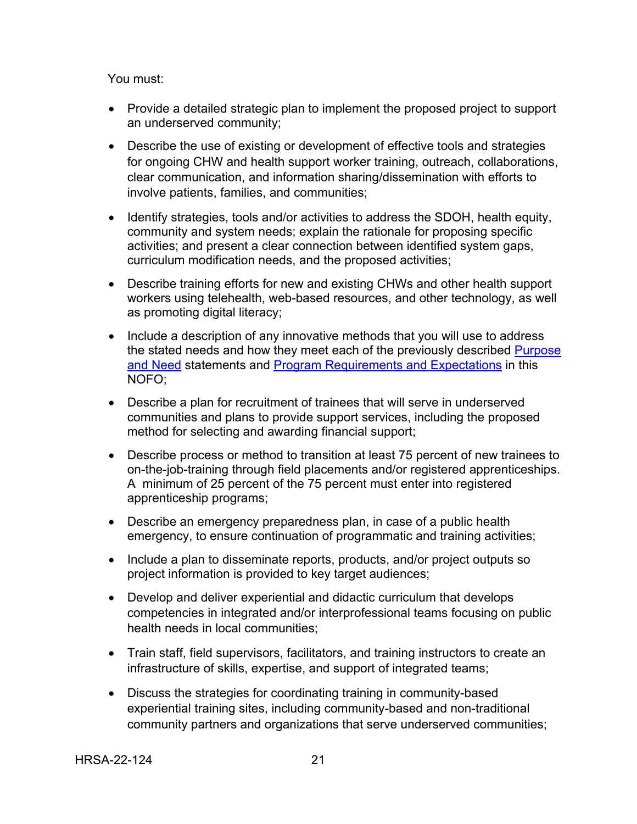You must:

- Provide a detailed strategic plan to implement the proposed project to support an underserved community;
- Describe the use of existing or development of effective tools and strategies for ongoing CHW and health support worker training, outreach, collaborations, clear communication, and information sharing/dissemination with efforts to involve patients, families, and communities;
- Identify strategies, tools and/or activities to address the SDOH, health equity, community and system needs; explain the rationale for proposing specific activities; and present a clear connection between identified system gaps, curriculum modification needs, and the proposed activities;
- Describe training efforts for new and existing CHWs and other health support workers using telehealth, web-based resources, and other technology, as well as promoting digital literacy;
- Include a description of any innovative methods that you will use to address the stated needs and how they meet each of the previously described [Purpose](#page-21-1)  [and Need](#page-21-1) statements and [Program Requirements and Expectations](#page-16-0) in this NOFO;
- Describe a plan for recruitment of trainees that will serve in underserved communities and plans to provide support services, including the proposed method for selecting and awarding financial support;
- Describe process or method to transition at least 75 percent of new trainees to on-the-job-training through field placements and/or registered apprenticeships. A minimum of 25 percent of the 75 percent must enter into registered apprenticeship programs;
- Describe an emergency preparedness plan, in case of a public health emergency, to ensure continuation of programmatic and training activities;
- Include a plan to disseminate reports, products, and/or project outputs so project information is provided to key target audiences;
- Develop and deliver experiential and didactic curriculum that develops competencies in integrated and/or interprofessional teams focusing on public health needs in local communities;
- Train staff, field supervisors, facilitators, and training instructors to create an infrastructure of skills, expertise, and support of integrated teams;
- Discuss the strategies for coordinating training in community-based experiential training sites, including community-based and non-traditional community partners and organizations that serve underserved communities;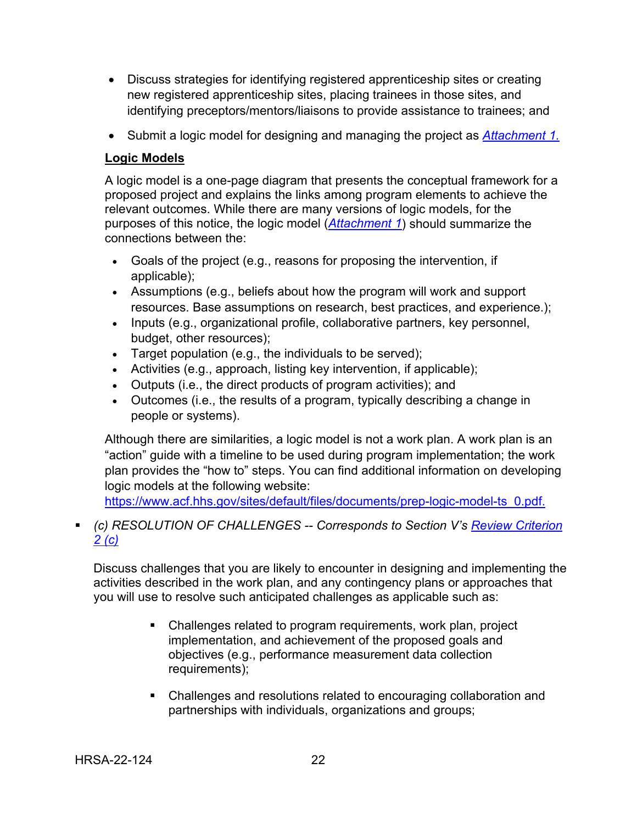- Discuss strategies for identifying registered apprenticeship sites or creating new registered apprenticeship sites, placing trainees in those sites, and identifying preceptors/mentors/liaisons to provide assistance to trainees; and
- Submit a logic model for designing and managing the project as *[Attachment 1.](#page-32-3)*

## **Logic Models**

A logic model is a one-page diagram that presents the conceptual framework for a proposed project and explains the links among program elements to achieve the relevant outcomes. While there are many versions of logic models, for the purposes of this notice, the logic model (*[Attachment 1](#page-32-3)*) should summarize the connections between the:

- Goals of the project (e.g., reasons for proposing the intervention, if applicable);
- Assumptions (e.g., beliefs about how the program will work and support resources. Base assumptions on research, best practices, and experience.);
- Inputs (e.g., organizational profile, collaborative partners, key personnel, budget, other resources);
- Target population (e.g., the individuals to be served);
- Activities (e.g., approach, listing key intervention, if applicable);
- Outputs (i.e., the direct products of program activities); and
- Outcomes (i.e., the results of a program, typically describing a change in people or systems).

Although there are similarities, a logic model is not a work plan. A work plan is an "action" guide with a timeline to be used during program implementation; the work plan provides the "how to" steps. You can find additional information on developing logic models at the following website:

[https://www.acf.hhs.gov/sites/default/files/documents/prep-logic-model-ts\\_0.pdf.](https://www.acf.hhs.gov/sites/default/files/documents/prep-logic-model-ts_0.pdf)

## <span id="page-25-0"></span> *(c) RESOLUTION OF CHALLENGES -- Corresponds to Section V's [Review Criterion](#page-40-0)  [2 \(c\)](#page-40-0)*

Discuss challenges that you are likely to encounter in designing and implementing the activities described in the work plan, and any contingency plans or approaches that you will use to resolve such anticipated challenges as applicable such as:

- Challenges related to program requirements, work plan, project implementation, and achievement of the proposed goals and objectives (e.g., performance measurement data collection requirements);
- Challenges and resolutions related to encouraging collaboration and partnerships with individuals, organizations and groups;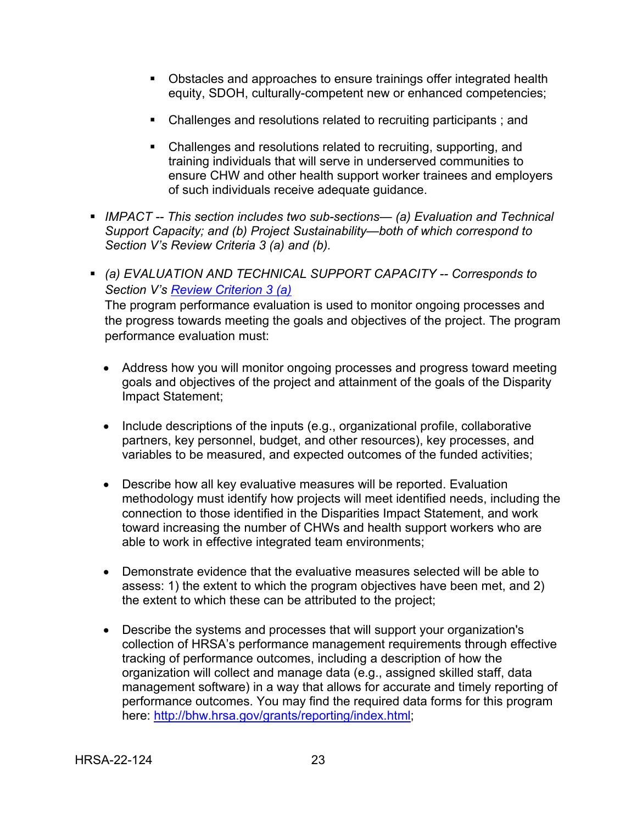- Obstacles and approaches to ensure trainings offer integrated health equity, SDOH, culturally-competent new or enhanced competencies;
- Challenges and resolutions related to recruiting participants; and
- Challenges and resolutions related to recruiting, supporting, and training individuals that will serve in underserved communities to ensure CHW and other health support worker trainees and employers of such individuals receive adequate guidance.
- *IMPACT -- This section includes two sub-sections— (a) Evaluation and Technical Support Capacity; and (b) Project Sustainability—both of which correspond to Section V's Review Criteria 3 (a) and (b).*
- <span id="page-26-0"></span> *(a) EVALUATION AND TECHNICAL SUPPORT CAPACITY -- Corresponds to Section V's [Review Criterion 3 \(a\)](#page-41-0)* The program performance evaluation is used to monitor ongoing processes and the progress towards meeting the goals and objectives of the project. The program performance evaluation must:
	- Address how you will monitor ongoing processes and progress toward meeting goals and objectives of the project and attainment of the goals of the Disparity Impact Statement;
	- Include descriptions of the inputs (e.g., organizational profile, collaborative partners, key personnel, budget, and other resources), key processes, and variables to be measured, and expected outcomes of the funded activities;
	- Describe how all key evaluative measures will be reported. Evaluation methodology must identify how projects will meet identified needs, including the connection to those identified in the Disparities Impact Statement, and work toward increasing the number of CHWs and health support workers who are able to work in effective integrated team environments;
	- Demonstrate evidence that the evaluative measures selected will be able to assess: 1) the extent to which the program objectives have been met, and 2) the extent to which these can be attributed to the project;
	- Describe the systems and processes that will support your organization's collection of HRSA's performance management requirements through effective tracking of performance outcomes, including a description of how the organization will collect and manage data (e.g., assigned skilled staff, data management software) in a way that allows for accurate and timely reporting of performance outcomes. You may find the required data forms for this program here: [http://bhw.hrsa.gov/grants/reporting/index.html;](http://bhw.hrsa.gov/grants/reporting/index.html)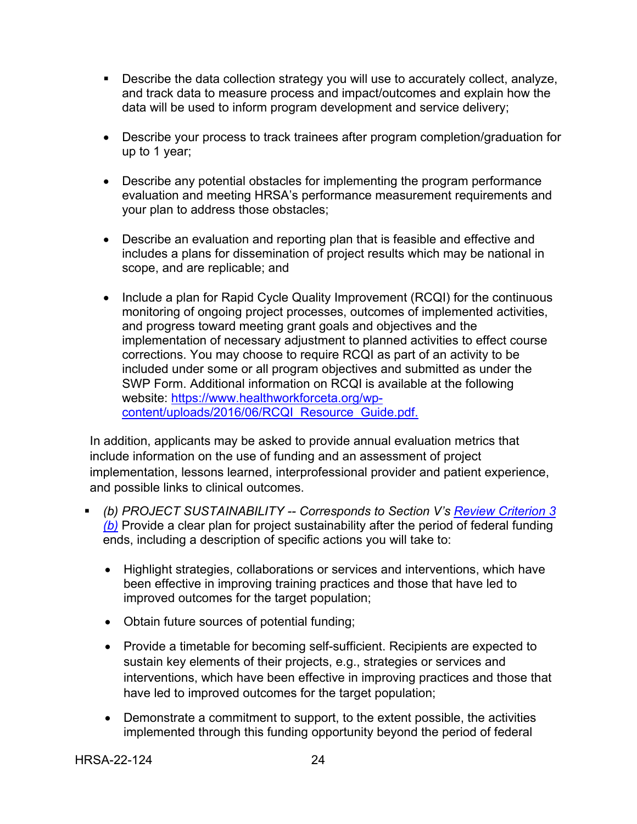- Describe the data collection strategy you will use to accurately collect, analyze, and track data to measure process and impact/outcomes and explain how the data will be used to inform program development and service delivery;
- Describe your process to track trainees after program completion/graduation for up to 1 year;
- Describe any potential obstacles for implementing the program performance evaluation and meeting HRSA's performance measurement requirements and your plan to address those obstacles;
- Describe an evaluation and reporting plan that is feasible and effective and includes a plans for dissemination of project results which may be national in scope, and are replicable; and
- Include a plan for Rapid Cycle Quality Improvement (RCQI) for the continuous monitoring of ongoing project processes, outcomes of implemented activities, and progress toward meeting grant goals and objectives and the implementation of necessary adjustment to planned activities to effect course corrections. You may choose to require RCQI as part of an activity to be included under some or all program objectives and submitted as under the SWP Form. Additional information on RCQI is available at the following website: [https://www.healthworkforceta.org/wp](https://www.healthworkforceta.org/wp-content/uploads/2016/06/RCQI_Resource_Guide.pdf.)[content/uploads/2016/06/RCQI\\_Resource\\_Guide.pdf.](https://www.healthworkforceta.org/wp-content/uploads/2016/06/RCQI_Resource_Guide.pdf.)

In addition, applicants may be asked to provide annual evaluation metrics that include information on the use of funding and an assessment of project implementation, lessons learned, interprofessional provider and patient experience, and possible links to clinical outcomes.

- <span id="page-27-0"></span> *(b) PROJECT SUSTAINABILITY -- Corresponds to Section V's [Review Criterion 3](#page-42-0)  [\(b\)](#page-42-0)* Provide a clear plan for project sustainability after the period of federal funding ends, including a description of specific actions you will take to:
	- Highlight strategies, collaborations or services and interventions, which have been effective in improving training practices and those that have led to improved outcomes for the target population;
	- Obtain future sources of potential funding;
	- Provide a timetable for becoming self-sufficient. Recipients are expected to sustain key elements of their projects, e.g., strategies or services and interventions, which have been effective in improving practices and those that have led to improved outcomes for the target population;
	- Demonstrate a commitment to support, to the extent possible, the activities implemented through this funding opportunity beyond the period of federal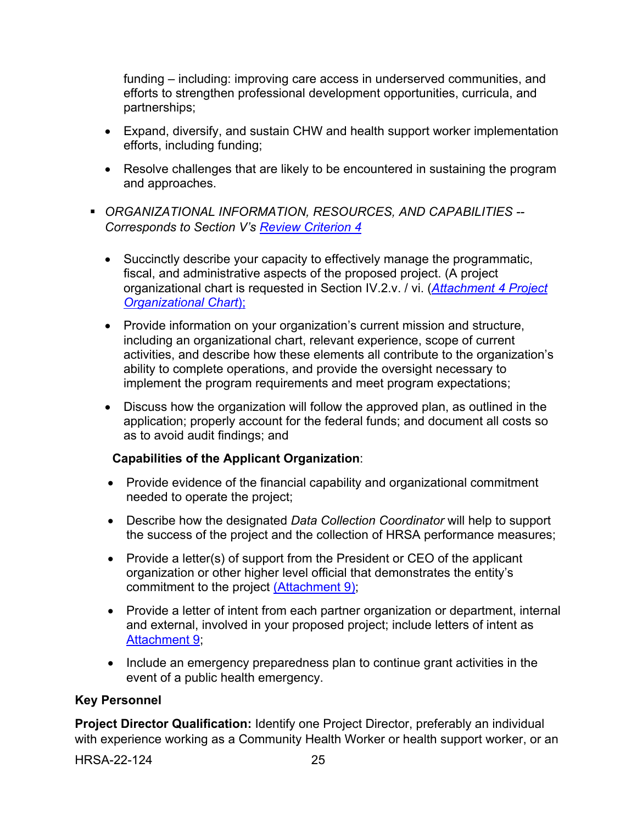funding – including: improving care access in underserved communities, and efforts to strengthen professional development opportunities, curricula, and partnerships;

- Expand, diversify, and sustain CHW and health support worker implementation efforts, including funding;
- Resolve challenges that are likely to be encountered in sustaining the program and approaches.
- <span id="page-28-0"></span> *ORGANIZATIONAL INFORMATION, RESOURCES, AND CAPABILITIES -- Corresponds to Section V's [Review Criterion 4](#page-43-0)*
	- Succinctly describe your capacity to effectively manage the programmatic, fiscal, and administrative aspects of the proposed project. (A project organizational chart is requested in Section IV.2.v. / vi. (*[Attachment 4](#page-33-2) Project [Organizational Chart](#page-33-2)*);
	- Provide information on your organization's current mission and structure, including an organizational chart, relevant experience, scope of current activities, and describe how these elements all contribute to the organization's ability to complete operations, and provide the oversight necessary to implement the program requirements and meet program expectations;
	- Discuss how the organization will follow the approved plan, as outlined in the application; properly account for the federal funds; and document all costs so as to avoid audit findings; and

## **Capabilities of the Applicant Organization**:

- Provide evidence of the financial capability and organizational commitment needed to operate the project;
- Describe how the designated *Data Collection Coordinator* will help to support the success of the project and the collection of HRSA performance measures;
- Provide a letter(s) of support from the President or CEO of the applicant organization or other higher level official that demonstrates the entity's commitment to the project [\(Attachment 9\);](#page-34-2)
- Provide a letter of intent from each partner organization or department, internal and external, involved in your proposed project; include letters of intent as [Attachment 9;](#page-34-2)
- Include an emergency preparedness plan to continue grant activities in the event of a public health emergency.

#### **Key Personnel**

**Project Director Qualification:** Identify one Project Director, preferably an individual with experience working as a Community Health Worker or health support worker, or an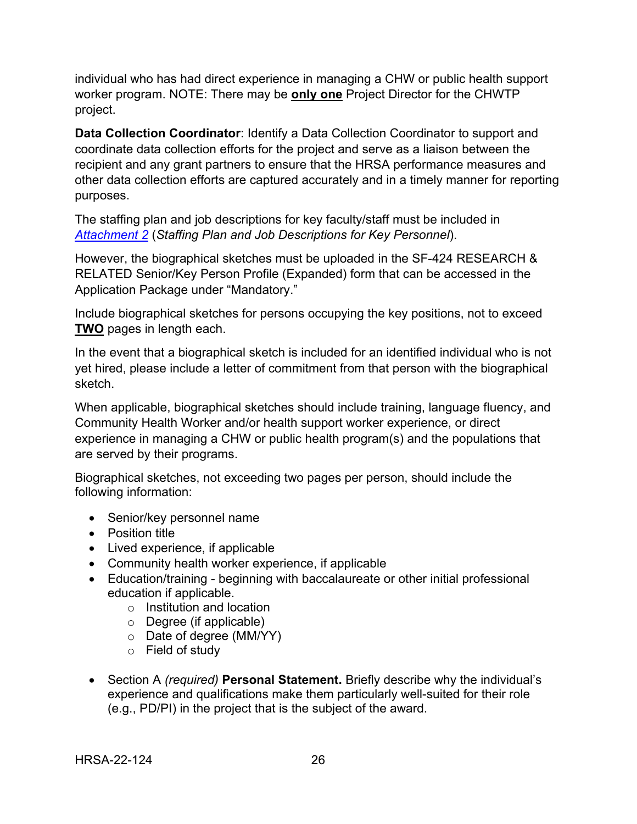individual who has had direct experience in managing a CHW or public health support worker program. NOTE: There may be **only one** Project Director for the CHWTP project.

**Data Collection Coordinator**: Identify a Data Collection Coordinator to support and coordinate data collection efforts for the project and serve as a liaison between the recipient and any grant partners to ensure that the HRSA performance measures and other data collection efforts are captured accurately and in a timely manner for reporting purposes.

The staffing plan and job descriptions for key faculty/staff must be included in *[Attachment 2](#page-32-4)* (*Staffing Plan and Job Descriptions for Key Personnel*).

However, the biographical sketches must be uploaded in the SF-424 RESEARCH & RELATED Senior/Key Person Profile (Expanded) form that can be accessed in the Application Package under "Mandatory."

Include biographical sketches for persons occupying the key positions, not to exceed **TWO** pages in length each.

In the event that a biographical sketch is included for an identified individual who is not yet hired, please include a letter of commitment from that person with the biographical sketch.

When applicable, biographical sketches should include training, language fluency, and Community Health Worker and/or health support worker experience, or direct experience in managing a CHW or public health program(s) and the populations that are served by their programs.

Biographical sketches, not exceeding two pages per person, should include the following information:

- Senior/key personnel name
- Position title
- Lived experience, if applicable
- Community health worker experience, if applicable
- Education/training beginning with baccalaureate or other initial professional education if applicable.
	- o Institution and location
	- o Degree (if applicable)
	- o Date of degree (MM/YY)
	- o Field of study
- Section A *(required)* **Personal Statement.** Briefly describe why the individual's experience and qualifications make them particularly well-suited for their role (e.g., PD/PI) in the project that is the subject of the award.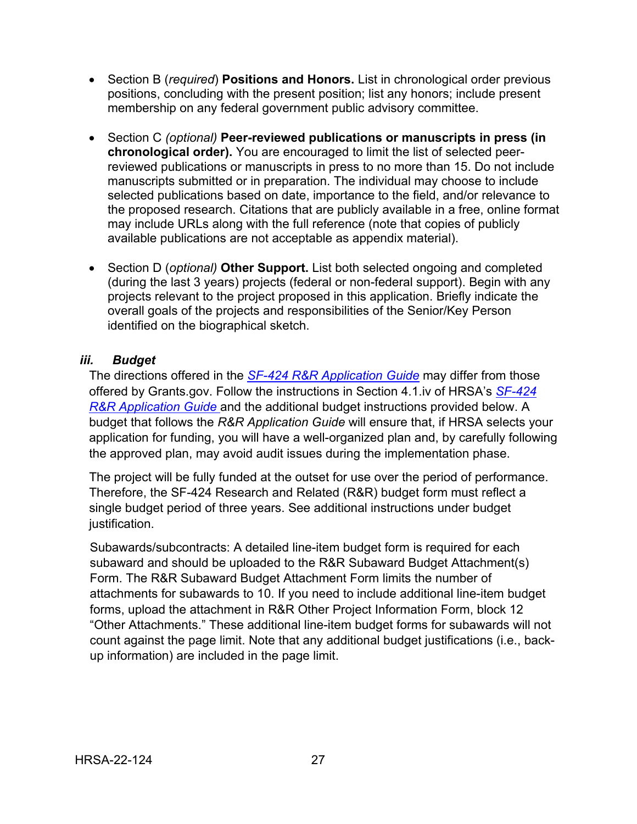- Section B (*required*) **Positions and Honors.** List in chronological order previous positions, concluding with the present position; list any honors; include present membership on any federal government public advisory committee.
- Section C *(optional)* **Peer-reviewed publications or manuscripts in press (in chronological order).** You are encouraged to limit the list of selected peerreviewed publications or manuscripts in press to no more than 15. Do not include manuscripts submitted or in preparation. The individual may choose to include selected publications based on date, importance to the field, and/or relevance to the proposed research. Citations that are publicly available in a free, online format may include URLs along with the full reference (note that copies of publicly available publications are not acceptable as appendix material).
- Section D (*optional)* **Other Support.** List both selected ongoing and completed (during the last 3 years) projects (federal or non-federal support). Begin with any projects relevant to the project proposed in this application. Briefly indicate the overall goals of the projects and responsibilities of the Senior/Key Person identified on the biographical sketch.

#### <span id="page-30-0"></span>*iii. Budget*

The directions offered in the *SF-424 R&R [Application Guide](http://www.hrsa.gov/grants/apply/applicationguide/sf424rrguidev2.pdf)* may differ from those offered by Grants.gov. Follow the instructions in Section 4.1.iv of HRSA's *[SF-424](http://www.hrsa.gov/grants/apply/applicationguide/sf424rrguidev2.pdf) R&R [Application Guide](http://www.hrsa.gov/grants/apply/applicationguide/sf424rrguidev2.pdf)* and the additional budget instructions provided below. A budget that follows the *R&R Application Guide* will ensure that, if HRSA selects your application for funding, you will have a well-organized plan and, by carefully following the approved plan, may avoid audit issues during the implementation phase.

The project will be fully funded at the outset for use over the period of performance. Therefore, the SF-424 Research and Related (R&R) budget form must reflect a single budget period of three years. See additional instructions under budget justification.

Subawards/subcontracts: A detailed line-item budget form is required for each subaward and should be uploaded to the R&R Subaward Budget Attachment(s) Form. The R&R Subaward Budget Attachment Form limits the number of attachments for subawards to 10. If you need to include additional line-item budget forms, upload the attachment in R&R Other Project Information Form, block 12 "Other Attachments." These additional line-item budget forms for subawards will not count against the page limit. Note that any additional budget justifications (i.e., backup information) are included in the page limit.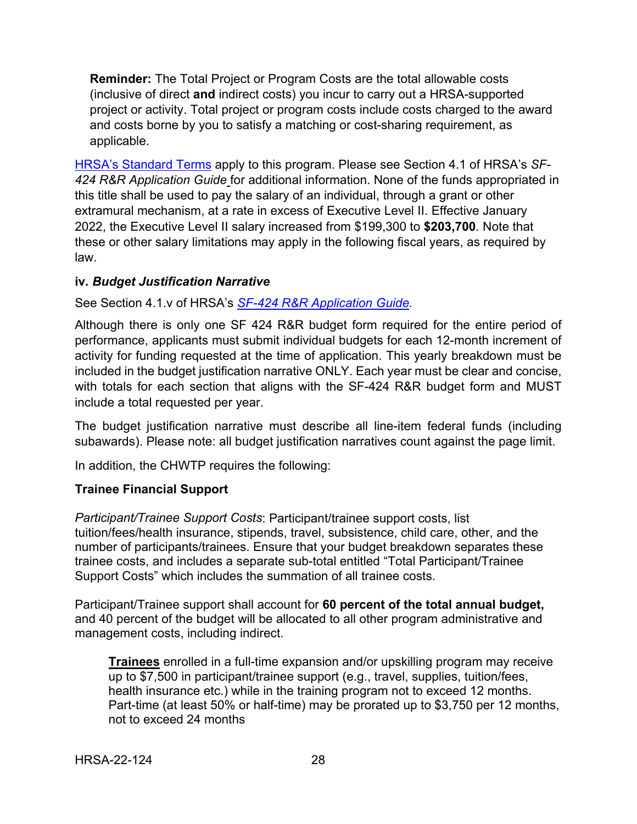**Reminder:** The Total Project or Program Costs are the total allowable costs (inclusive of direct **and** indirect costs) you incur to carry out a HRSA-supported project or activity. Total project or program costs include costs charged to the award and costs borne by you to satisfy a matching or cost-sharing requirement, as applicable.

[HRSA's Standard Terms](https://www.hrsa.gov/grants/standard-terms) apply to this program. Please see Section 4.1 of HRSA's *SF-424 R&R Application Guide* for additional information. None of the funds appropriated in this title shall be used to pay the salary of an individual, through a grant or other extramural mechanism, at a rate in excess of Executive Level II. Effective January 2022, the Executive Level II salary increased from \$199,300 to **\$203,700**. Note that these or other salary limitations may apply in the following fiscal years, as required by law.

#### <span id="page-31-0"></span>**iv***. Budget Justification Narrative*

See Section 4.1.v of HRSA's *SF-424 R&R [Application Guide.](http://www.hrsa.gov/grants/apply/applicationguide/sf424rrguidev2.pdf)* 

Although there is only one SF 424 R&R budget form required for the entire period of performance, applicants must submit individual budgets for each 12-month increment of activity for funding requested at the time of application. This yearly breakdown must be included in the budget justification narrative ONLY. Each year must be clear and concise, with totals for each section that aligns with the SF-424 R&R budget form and MUST include a total requested per year.

The budget justification narrative must describe all line-item federal funds (including subawards). Please note: all budget justification narratives count against the page limit.

In addition, the CHWTP requires the following:

#### **Trainee Financial Support**

*Participant/Trainee Support Costs*: Participant/trainee support costs, list tuition/fees/health insurance, stipends, travel, subsistence, child care, other, and the number of participants/trainees. Ensure that your budget breakdown separates these trainee costs, and includes a separate sub-total entitled "Total Participant/Trainee Support Costs" which includes the summation of all trainee costs.

Participant/Trainee support shall account for **60 percent of the total annual budget,**  and 40 percent of the budget will be allocated to all other program administrative and management costs, including indirect.

**Trainees** enrolled in a full-time expansion and/or upskilling program may receive up to \$7,500 in participant/trainee support (e.g., travel, supplies, tuition/fees, health insurance etc.) while in the training program not to exceed 12 months. Part-time (at least 50% or half-time) may be prorated up to \$3,750 per 12 months, not to exceed 24 months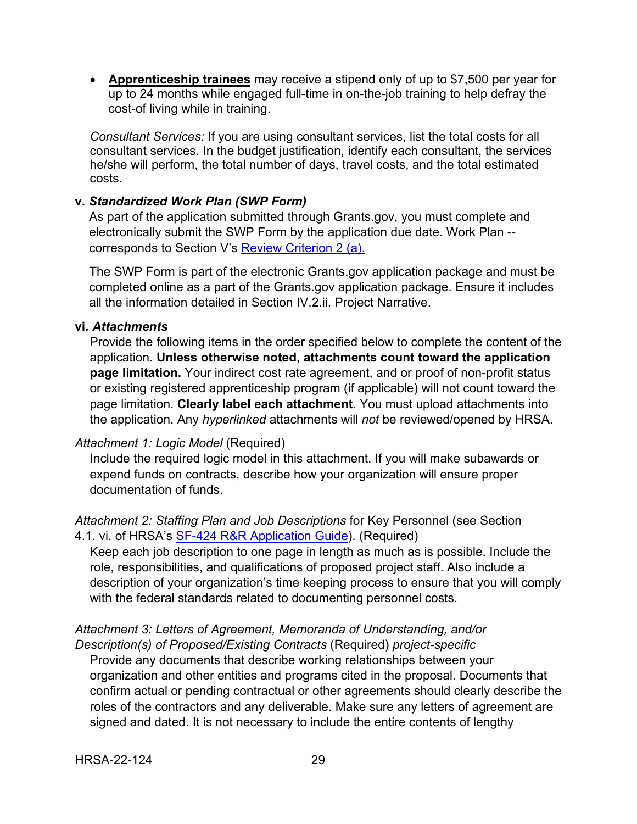• **Apprenticeship trainees** may receive a stipend only of up to \$7,500 per year for up to 24 months while engaged full-time in on-the-job training to help defray the cost-of living while in training.

*Consultant Services:* If you are using consultant services, list the total costs for all consultant services. In the budget justification, identify each consultant, the services he/she will perform, the total number of days, travel costs, and the total estimated costs.

#### <span id="page-32-0"></span>**v.** *Standardized Work Plan (SWP Form)*

As part of the application submitted through Grants.gov, you must complete and electronically submit the SWP Form by the application due date. Work Plan - corresponds to Section V's [Review Criterion 2 \(a\).](#page-38-0)

The SWP Form is part of the electronic Grants.gov application package and must be completed online as a part of the Grants.gov application package. Ensure it includes all the information detailed in Section IV.2.ii. Project Narrative.

#### <span id="page-32-1"></span>**vi***. Attachments*

Provide the following items in the order specified below to complete the content of the application. **Unless otherwise noted, attachments count toward the application page limitation.** Your indirect cost rate agreement, and or proof of non-profit status or existing registered apprenticeship program (if applicable) will not count toward the page limitation. **Clearly label each attachment**. You must upload attachments into the application. Any *hyperlinked* attachments will *not* be reviewed/opened by HRSA.

#### <span id="page-32-3"></span>*Attachment 1: Logic Model* (Required)

Include the required logic model in this attachment. If you will make subawards or expend funds on contracts, describe how your organization will ensure proper documentation of funds.

#### <span id="page-32-4"></span>*Attachment 2: Staffing Plan and Job Descriptions* for Key Personnel (see Section 4.1. vi. of HRSA's [SF-424 R&R Application Guide\)](http://www.hrsa.gov/grants/apply/applicationguide/sf424rrguidev2.pdf). (Required)

Keep each job description to one page in length as much as is possible. Include the role, responsibilities, and qualifications of proposed project staff. Also include a description of your organization's time keeping process to ensure that you will comply with the federal standards related to documenting personnel costs.

#### <span id="page-32-2"></span>*Attachment 3: Letters of Agreement, Memoranda of Understanding, and/or Description(s) of Proposed/Existing Contracts* (Required) *project-specific*

Provide any documents that describe working relationships between your organization and other entities and programs cited in the proposal. Documents that confirm actual or pending contractual or other agreements should clearly describe the roles of the contractors and any deliverable. Make sure any letters of agreement are signed and dated. It is not necessary to include the entire contents of lengthy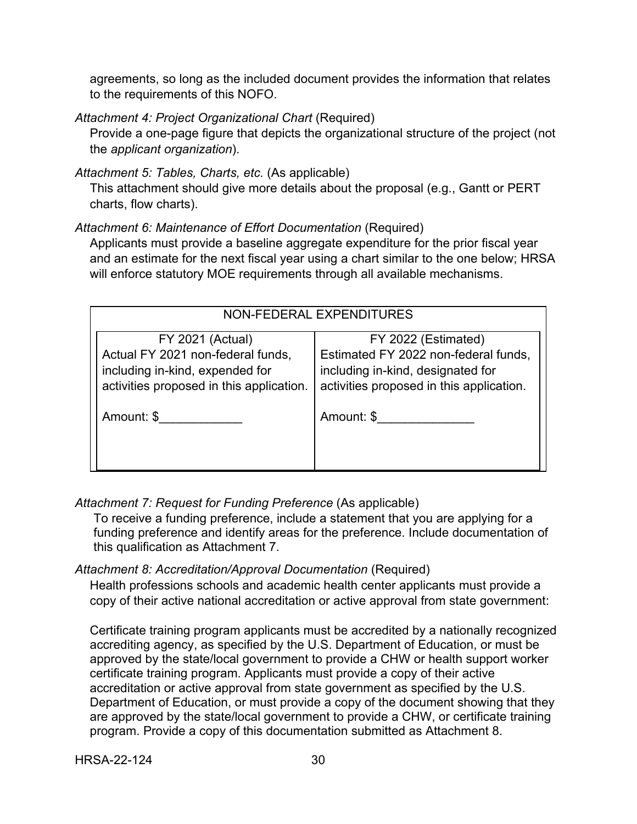agreements, so long as the included document provides the information that relates to the requirements of this NOFO.

<span id="page-33-2"></span>*Attachment 4: Project Organizational Chart* (Required)

Provide a one-page figure that depicts the organizational structure of the project (not the *applicant organization*).

*Attachment 5: Tables, Charts, etc.* (As applicable)

This attachment should give more details about the proposal (e.g., Gantt or PERT charts, flow charts).

<span id="page-33-1"></span>*Attachment 6: Maintenance of Effort Documentation* (Required)

Applicants must provide a baseline aggregate expenditure for the prior fiscal year and an estimate for the next fiscal year using a chart similar to the one below; HRSA will enforce statutory MOE requirements through all available mechanisms.

| NON-FEDERAL EXPENDITURES                                                                                                                    |                                                                                                                                              |  |
|---------------------------------------------------------------------------------------------------------------------------------------------|----------------------------------------------------------------------------------------------------------------------------------------------|--|
| <b>FY 2021 (Actual)</b><br>Actual FY 2021 non-federal funds,<br>including in-kind, expended for<br>activities proposed in this application. | FY 2022 (Estimated)<br>Estimated FY 2022 non-federal funds,<br>including in-kind, designated for<br>activities proposed in this application. |  |
| Amount: \$                                                                                                                                  | Amount: \$                                                                                                                                   |  |

<span id="page-33-3"></span>*Attachment 7: Request for Funding Preference* (As applicable)

To receive a funding preference, include a statement that you are applying for a funding preference and identify areas for the preference. Include documentation of this qualification as Attachment 7.

#### <span id="page-33-0"></span>*Attachment 8: Accreditation/Approval Documentation* (Required)

Health professions schools and academic health center applicants must provide a copy of their active national accreditation or active approval from state government:

Certificate training program applicants must be accredited by a nationally recognized accrediting agency, as specified by the U.S. Department of Education, or must be approved by the state/local government to provide a CHW or health support worker certificate training program. Applicants must provide a copy of their active accreditation or active approval from state government as specified by the U.S. Department of Education, or must provide a copy of the document showing that they are approved by the state/local government to provide a CHW, or certificate training program. Provide a copy of this documentation submitted as Attachment 8.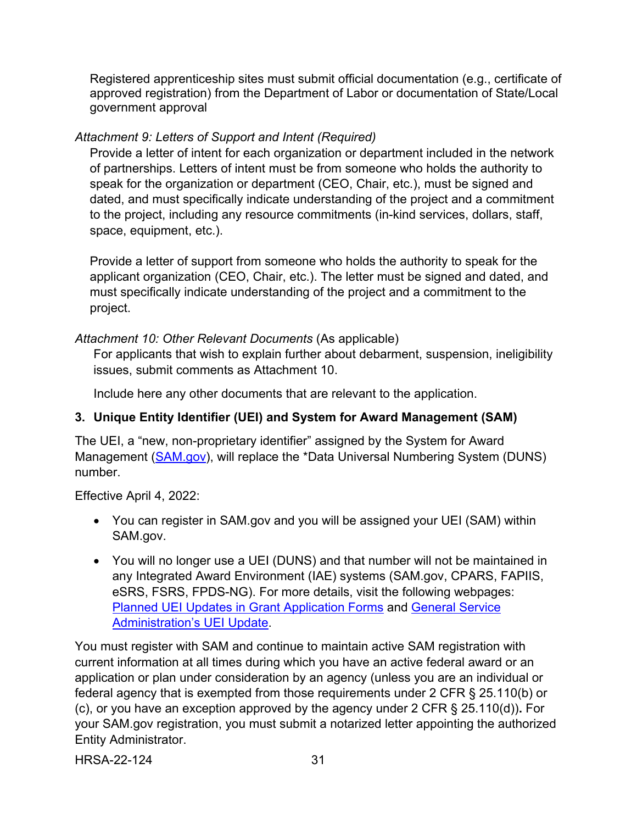Registered apprenticeship sites must submit official documentation (e.g., certificate of approved registration) from the Department of Labor or documentation of State/Local government approval

## <span id="page-34-2"></span>*Attachment 9: Letters of Support and Intent (Required)*

Provide a letter of intent for each organization or department included in the network of partnerships. Letters of intent must be from someone who holds the authority to speak for the organization or department (CEO, Chair, etc.), must be signed and dated, and must specifically indicate understanding of the project and a commitment to the project, including any resource commitments (in-kind services, dollars, staff, space, equipment, etc.).

Provide a letter of support from someone who holds the authority to speak for the applicant organization (CEO, Chair, etc.). The letter must be signed and dated, and must specifically indicate understanding of the project and a commitment to the project.

## <span id="page-34-1"></span>*Attachment 10: Other Relevant Documents* (As applicable)

For applicants that wish to explain further about debarment, suspension, ineligibility issues, submit comments as Attachment 10.

Include here any other documents that are relevant to the application.

## <span id="page-34-0"></span>**3. Unique Entity Identifier (UEI) and System for Award Management (SAM)**

The UEI, a "new, non-proprietary identifier" assigned by the System for Award Management [\(SAM.gov\)](https://sam.gov/content/home), will replace the \*Data Universal Numbering System (DUNS) number.

## Effective April 4, 2022:

- You can register in SAM.gov and you will be assigned your UEI (SAM) within SAM.gov.
- You will no longer use a UEI (DUNS) and that number will not be maintained in any Integrated Award Environment (IAE) systems (SAM.gov, CPARS, FAPIIS, eSRS, FSRS, FPDS-NG). For more details, visit the following webpages: [Planned UEI Updates in Grant Application Forms](https://www.grants.gov/web/grants/forms/planned-uei-updates.html) and [General Service](https://www.gsa.gov/entityid)  [Administration's UEI Update.](https://www.gsa.gov/entityid)

You must register with SAM and continue to maintain active SAM registration with current information at all times during which you have an active federal award or an application or plan under consideration by an agency (unless you are an individual or federal agency that is exempted from those requirements under 2 CFR § 25.110(b) or (c), or you have an exception approved by the agency under 2 CFR § 25.110(d))**.** For your SAM.gov registration, you must submit a notarized letter appointing the authorized Entity Administrator.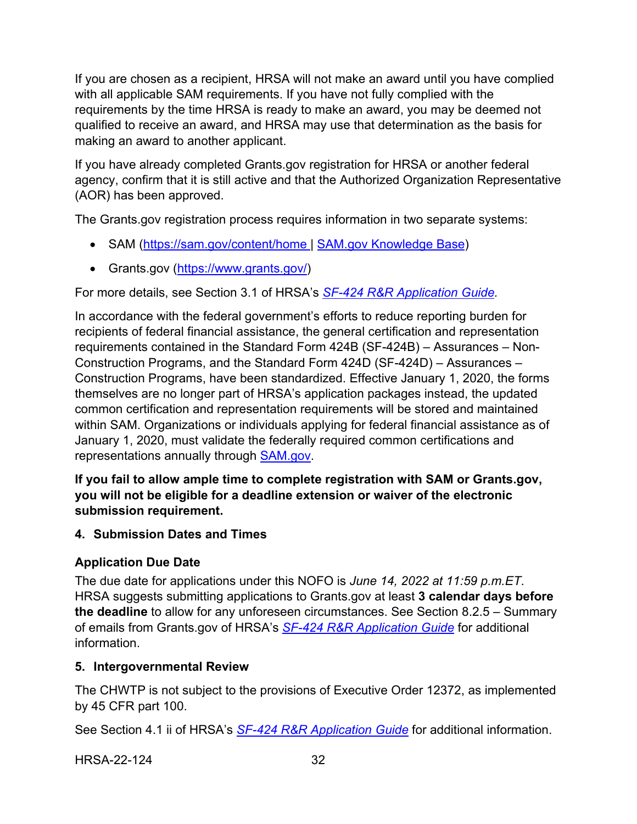If you are chosen as a recipient, HRSA will not make an award until you have complied with all applicable SAM requirements. If you have not fully complied with the requirements by the time HRSA is ready to make an award, you may be deemed not qualified to receive an award, and HRSA may use that determination as the basis for making an award to another applicant.

If you have already completed Grants.gov registration for HRSA or another federal agency, confirm that it is still active and that the Authorized Organization Representative (AOR) has been approved.

The Grants.gov registration process requires information in two separate systems:

- SAM [\(https://sam.gov/content/home](https://sam.gov/content/home) | [SAM.gov Knowledge Base\)](https://www.fsd.gov/gsafsd_sp?id=gsa_kb_view2&kb_id=f66d8e6cdb76d4100d73f81d0f9619c6)
- Grants.gov [\(https://www.grants.gov/\)](https://www.grants.gov/)

For more details, see Section 3.1 of HRSA's *SF-424 R&R [Application Guide.](http://www.hrsa.gov/grants/apply/applicationguide/sf424rrguidev2.pdf)*

In accordance with the federal government's efforts to reduce reporting burden for recipients of federal financial assistance, the general certification and representation requirements contained in the Standard Form 424B (SF-424B) – Assurances – Non-Construction Programs, and the Standard Form 424D (SF-424D) – Assurances – Construction Programs, have been standardized. Effective January 1, 2020, the forms themselves are no longer part of HRSA's application packages instead, the updated common certification and representation requirements will be stored and maintained within SAM. Organizations or individuals applying for federal financial assistance as of January 1, 2020, must validate the federally required common certifications and representations annually through **SAM.gov.** 

**If you fail to allow ample time to complete registration with SAM or Grants.gov, you will not be eligible for a deadline extension or waiver of the electronic submission requirement.**

## <span id="page-35-0"></span>**4. Submission Dates and Times**

## **Application Due Date**

The due date for applications under this NOFO is *June 14, 2022 at 11:59 p.m.ET*. HRSA suggests submitting applications to Grants.gov at least **3 calendar days before the deadline** to allow for any unforeseen circumstances. See Section 8.2.5 – Summary of emails from Grants.gov of HRSA's *SF-424 R&R [Application Guide](http://www.hrsa.gov/grants/apply/applicationguide/sf424rrguidev2.pdf)* for additional information.

## <span id="page-35-1"></span>**5. Intergovernmental Review**

The CHWTP is not subject to the provisions of Executive Order 12372, as implemented by 45 CFR part 100.

See Section 4.1 ii of HRSA's *SF-424 R&R [Application Guide](http://www.hrsa.gov/grants/apply/applicationguide/sf424rrguidev2.pdf)* for additional information.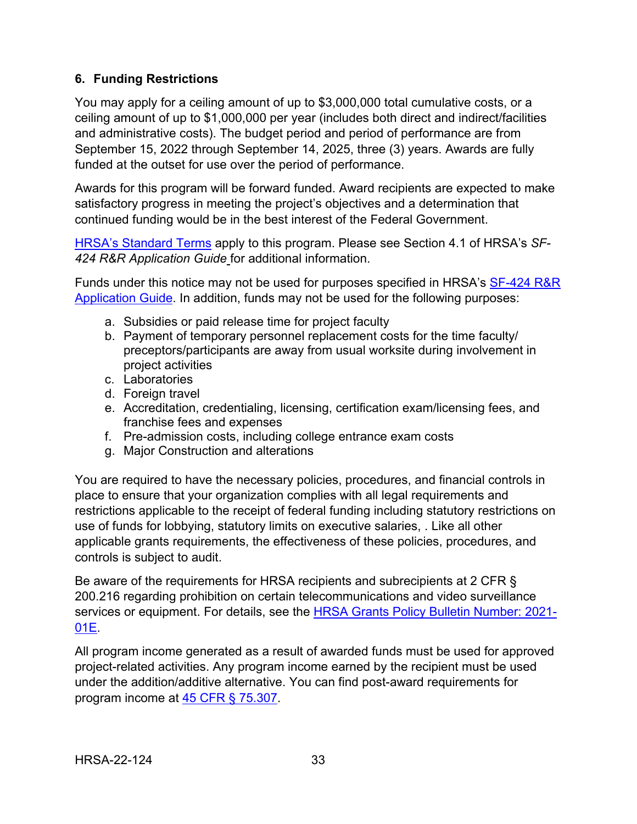## <span id="page-36-0"></span>**6. Funding Restrictions**

You may apply for a ceiling amount of up to \$3,000,000 total cumulative costs, or a ceiling amount of up to \$1,000,000 per year (includes both direct and indirect/facilities and administrative costs). The budget period and period of performance are from September 15, 2022 through September 14, 2025, three (3) years. Awards are fully funded at the outset for use over the period of performance.

Awards for this program will be forward funded. Award recipients are expected to make satisfactory progress in meeting the project's objectives and a determination that continued funding would be in the best interest of the Federal Government.

[HRSA's Standard Terms](https://www.hrsa.gov/grants/standard-terms) apply to this program. Please see Section 4.1 of HRSA's *SF-424 R&R Application Guide* for additional information.

Funds under this notice may not be used for purposes specified in HRSA's [SF-424 R&R](http://www.hrsa.gov/grants/apply/applicationguide/sf424rrguidev2.pdf)  [Application Guide.](http://www.hrsa.gov/grants/apply/applicationguide/sf424rrguidev2.pdf) In addition, funds may not be used for the following purposes:

- a. Subsidies or paid release time for project faculty
- b. Payment of temporary personnel replacement costs for the time faculty/ preceptors/participants are away from usual worksite during involvement in project activities
- c. Laboratories
- d. Foreign travel
- e. Accreditation, credentialing, licensing, certification exam/licensing fees, and franchise fees and expenses
- f. Pre-admission costs, including college entrance exam costs
- g. Major Construction and alterations

You are required to have the necessary policies, procedures, and financial controls in place to ensure that your organization complies with all legal requirements and restrictions applicable to the receipt of federal funding including statutory restrictions on use of funds for lobbying, statutory limits on executive salaries, . Like all other applicable grants requirements, the effectiveness of these policies, procedures, and controls is subject to audit.

Be aware of the requirements for HRSA recipients and subrecipients at 2 CFR § 200.216 regarding prohibition on certain telecommunications and video surveillance services or equipment. For details, see the [HRSA Grants Policy Bulletin Number: 2021-](https://www.hrsa.gov/sites/default/files/hrsa/grants/manage/grants-policy-bulletin-2021.pdf) [01E.](https://www.hrsa.gov/sites/default/files/hrsa/grants/manage/grants-policy-bulletin-2021.pdf)

All program income generated as a result of awarded funds must be used for approved project-related activities. Any program income earned by the recipient must be used under the addition/additive alternative. You can find post-award requirements for program income at [45 CFR § 75.307.](https://www.ecfr.gov/cgi-bin/retrieveECFR?gp=1&SID=4d52364ec83fab994c665943dadf9cf7&ty=HTML&h=L&r=PART&n=pt45.1.75)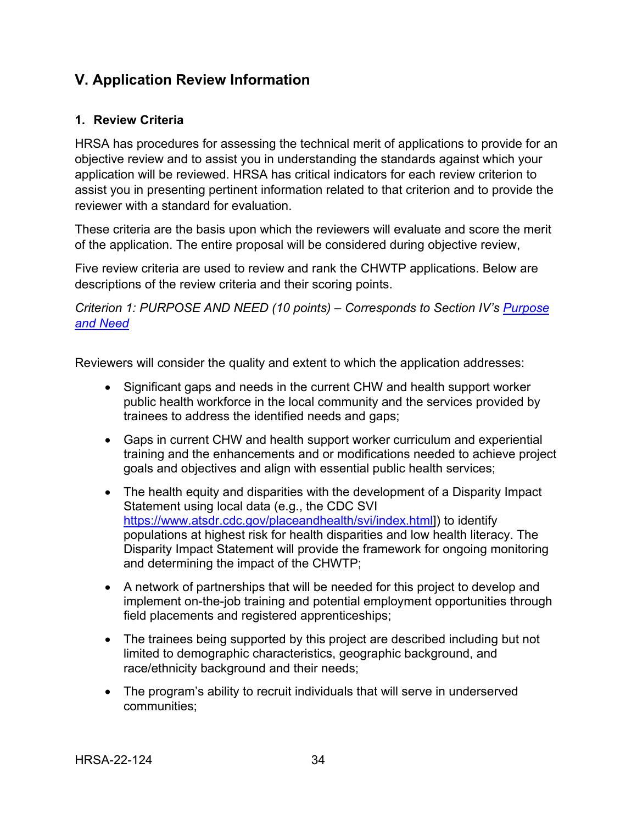## <span id="page-37-0"></span>**V. Application Review Information**

## <span id="page-37-1"></span>**1. Review Criteria**

HRSA has procedures for assessing the technical merit of applications to provide for an objective review and to assist you in understanding the standards against which your application will be reviewed. HRSA has critical indicators for each review criterion to assist you in presenting pertinent information related to that criterion and to provide the reviewer with a standard for evaluation.

These criteria are the basis upon which the reviewers will evaluate and score the merit of the application. The entire proposal will be considered during objective review,

Five review criteria are used to review and rank the CHWTP applications. Below are descriptions of the review criteria and their scoring points.

<span id="page-37-2"></span>*Criterion 1: PURPOSE AND NEED (10 points) – Corresponds to Section IV's [Purpose](#page-21-1)  [and Need](#page-21-1)*

Reviewers will consider the quality and extent to which the application addresses:

- Significant gaps and needs in the current CHW and health support worker public health workforce in the local community and the services provided by trainees to address the identified needs and gaps;
- Gaps in current CHW and health support worker curriculum and experiential training and the enhancements and or modifications needed to achieve project goals and objectives and align with essential public health services;
- The health equity and disparities with the development of a Disparity Impact Statement using local data (e.g., the CDC SVI [https://www.atsdr.cdc.gov/placeandhealth/svi/index.html\]](https://www.atsdr.cdc.gov/placeandhealth/svi/index.html)) to identify populations at highest risk for health disparities and low health literacy. The Disparity Impact Statement will provide the framework for ongoing monitoring and determining the impact of the CHWTP;
- A network of partnerships that will be needed for this project to develop and implement on-the-job training and potential employment opportunities through field placements and registered apprenticeships;
- The trainees being supported by this project are described including but not limited to demographic characteristics, geographic background, and race/ethnicity background and their needs;
- The program's ability to recruit individuals that will serve in underserved communities;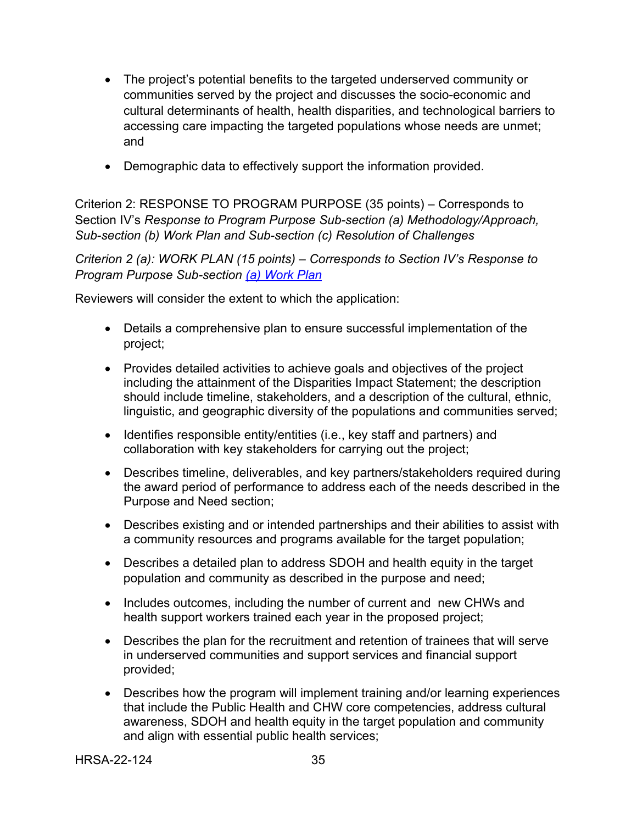- The project's potential benefits to the targeted underserved community or communities served by the project and discusses the socio-economic and cultural determinants of health, health disparities, and technological barriers to accessing care impacting the targeted populations whose needs are unmet; and
- <span id="page-38-0"></span>• Demographic data to effectively support the information provided.

Criterion 2: RESPONSE TO PROGRAM PURPOSE (35 points) – Corresponds to Section IV's *Response to Program Purpose Sub-section (a) Methodology/Approach, Sub-section (b) Work Plan and Sub-section (c) Resolution of Challenges*

*Criterion 2 (a): WORK PLAN (15 points) – Corresponds to Section IV's Response to Program Purpose Sub-section [\(a\) Work Plan](#page-22-0)* 

Reviewers will consider the extent to which the application:

- Details a comprehensive plan to ensure successful implementation of the project;
- Provides detailed activities to achieve goals and objectives of the project including the attainment of the Disparities Impact Statement; the description should include timeline, stakeholders, and a description of the cultural, ethnic, linguistic, and geographic diversity of the populations and communities served;
- Identifies responsible entity/entities (i.e., key staff and partners) and collaboration with key stakeholders for carrying out the project;
- Describes timeline, deliverables, and key partners/stakeholders required during the award period of performance to address each of the needs described in the Purpose and Need section;
- Describes existing and or intended partnerships and their abilities to assist with a community resources and programs available for the target population;
- Describes a detailed plan to address SDOH and health equity in the target population and community as described in the purpose and need;
- Includes outcomes, including the number of current and new CHWs and health support workers trained each year in the proposed project;
- Describes the plan for the recruitment and retention of trainees that will serve in underserved communities and support services and financial support provided;
- Describes how the program will implement training and/or learning experiences that include the Public Health and CHW core competencies, address cultural awareness, SDOH and health equity in the target population and community and align with essential public health services;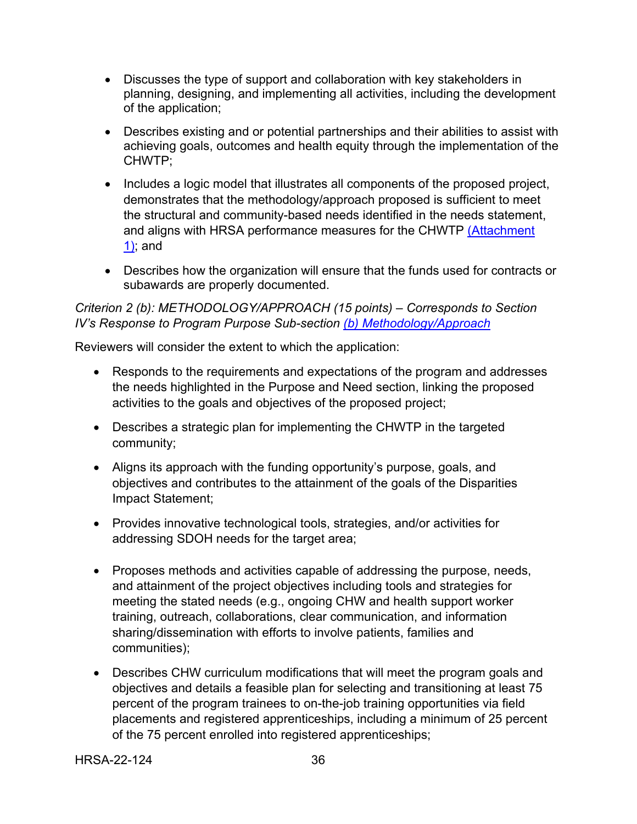- Discusses the type of support and collaboration with key stakeholders in planning, designing, and implementing all activities, including the development of the application;
- Describes existing and or potential partnerships and their abilities to assist with achieving goals, outcomes and health equity through the implementation of the CHWTP;
- Includes a logic model that illustrates all components of the proposed project, demonstrates that the methodology/approach proposed is sufficient to meet the structural and community-based needs identified in the needs statement, and aligns with HRSA performance measures for the CHWTP [\(Attachment](#page-32-3)  [1\);](#page-32-3) and
- Describes how the organization will ensure that the funds used for contracts or subawards are properly documented.

#### <span id="page-39-0"></span>*Criterion 2 (b): METHODOLOGY/APPROACH (15 points) – Corresponds to Section IV's Response to Program Purpose Sub-section [\(b\) Methodology/Approach](#page-23-0)*

Reviewers will consider the extent to which the application:

- Responds to the requirements and expectations of the program and addresses the needs highlighted in the Purpose and Need section, linking the proposed activities to the goals and objectives of the proposed project;
- Describes a strategic plan for implementing the CHWTP in the targeted community;
- Aligns its approach with the funding opportunity's purpose, goals, and objectives and contributes to the attainment of the goals of the Disparities Impact Statement;
- Provides innovative technological tools, strategies, and/or activities for addressing SDOH needs for the target area;
- Proposes methods and activities capable of addressing the purpose, needs, and attainment of the project objectives including tools and strategies for meeting the stated needs (e.g., ongoing CHW and health support worker training, outreach, collaborations, clear communication, and information sharing/dissemination with efforts to involve patients, families and communities);
- Describes CHW curriculum modifications that will meet the program goals and objectives and details a feasible plan for selecting and transitioning at least 75 percent of the program trainees to on-the-job training opportunities via field placements and registered apprenticeships, including a minimum of 25 percent of the 75 percent enrolled into registered apprenticeships;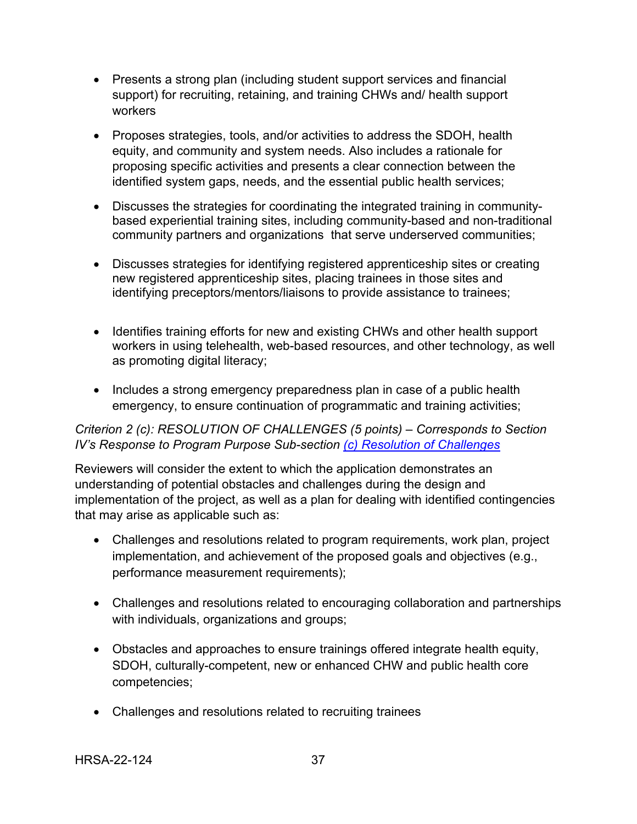- Presents a strong plan (including student support services and financial support) for recruiting, retaining, and training CHWs and/ health support workers
- Proposes strategies, tools, and/or activities to address the SDOH, health equity, and community and system needs. Also includes a rationale for proposing specific activities and presents a clear connection between the identified system gaps, needs, and the essential public health services;
- Discusses the strategies for coordinating the integrated training in communitybased experiential training sites, including community-based and non-traditional community partners and organizations that serve underserved communities;
- Discusses strategies for identifying registered apprenticeship sites or creating new registered apprenticeship sites, placing trainees in those sites and identifying preceptors/mentors/liaisons to provide assistance to trainees;
- Identifies training efforts for new and existing CHWs and other health support workers in using telehealth, web-based resources, and other technology, as well as promoting digital literacy;
- Includes a strong emergency preparedness plan in case of a public health emergency, to ensure continuation of programmatic and training activities;

## <span id="page-40-0"></span>*Criterion 2 (c): RESOLUTION OF CHALLENGES (5 points) – Corresponds to Section IV's Response to Program Purpose Sub-section [\(c\) Resolution of Challenges](#page-25-0)*

Reviewers will consider the extent to which the application demonstrates an understanding of potential obstacles and challenges during the design and implementation of the project, as well as a plan for dealing with identified contingencies that may arise as applicable such as:

- Challenges and resolutions related to program requirements, work plan, project implementation, and achievement of the proposed goals and objectives (e.g., performance measurement requirements);
- Challenges and resolutions related to encouraging collaboration and partnerships with individuals, organizations and groups;
- Obstacles and approaches to ensure trainings offered integrate health equity, SDOH, culturally-competent, new or enhanced CHW and public health core competencies;
- Challenges and resolutions related to recruiting trainees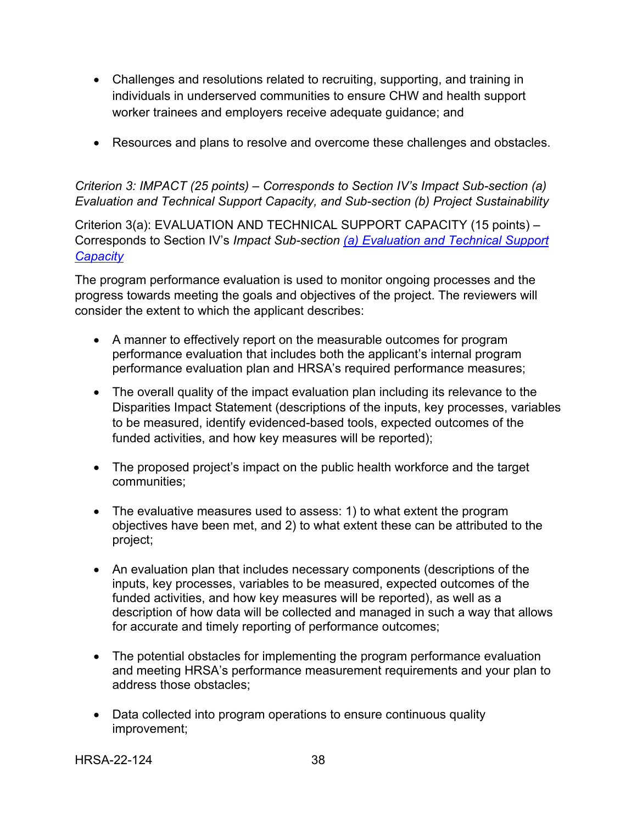- Challenges and resolutions related to recruiting, supporting, and training in individuals in underserved communities to ensure CHW and health support worker trainees and employers receive adequate guidance; and
- Resources and plans to resolve and overcome these challenges and obstacles.

*Criterion 3: IMPACT (25 points) – Corresponds to Section IV's Impact Sub-section (a) Evaluation and Technical Support Capacity, and Sub-section (b) Project Sustainability*

<span id="page-41-0"></span>Criterion 3(a): EVALUATION AND TECHNICAL SUPPORT CAPACITY (15 points) – Corresponds to Section IV's *Impact Sub-section [\(a\) Evaluation and Technical Support](#page-26-0)  [Capacity](#page-26-0)*

The program performance evaluation is used to monitor ongoing processes and the progress towards meeting the goals and objectives of the project. The reviewers will consider the extent to which the applicant describes:

- A manner to effectively report on the measurable outcomes for program performance evaluation that includes both the applicant's internal program performance evaluation plan and HRSA's required performance measures;
- The overall quality of the impact evaluation plan including its relevance to the Disparities Impact Statement (descriptions of the inputs, key processes, variables to be measured, identify evidenced-based tools, expected outcomes of the funded activities, and how key measures will be reported);
- The proposed project's impact on the public health workforce and the target communities;
- The evaluative measures used to assess: 1) to what extent the program objectives have been met, and 2) to what extent these can be attributed to the project;
- An evaluation plan that includes necessary components (descriptions of the inputs, key processes, variables to be measured, expected outcomes of the funded activities, and how key measures will be reported), as well as a description of how data will be collected and managed in such a way that allows for accurate and timely reporting of performance outcomes;
- The potential obstacles for implementing the program performance evaluation and meeting HRSA's performance measurement requirements and your plan to address those obstacles;
- Data collected into program operations to ensure continuous quality improvement;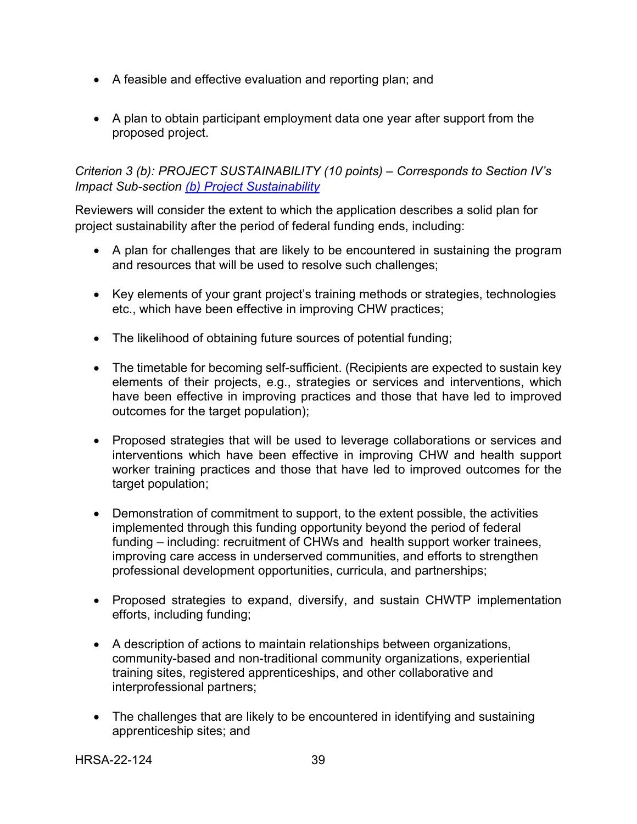- A feasible and effective evaluation and reporting plan; and
- A plan to obtain participant employment data one year after support from the proposed project.

<span id="page-42-0"></span>*Criterion 3 (b): PROJECT SUSTAINABILITY (10 points) – Corresponds to Section IV's Impact Sub-section [\(b\) Project Sustainability](#page-27-0)* 

Reviewers will consider the extent to which the application describes a solid plan for project sustainability after the period of federal funding ends, including:

- A plan for challenges that are likely to be encountered in sustaining the program and resources that will be used to resolve such challenges;
- Key elements of your grant project's training methods or strategies, technologies etc., which have been effective in improving CHW practices;
- The likelihood of obtaining future sources of potential funding;
- The timetable for becoming self-sufficient. (Recipients are expected to sustain key elements of their projects, e.g., strategies or services and interventions, which have been effective in improving practices and those that have led to improved outcomes for the target population);
- Proposed strategies that will be used to leverage collaborations or services and interventions which have been effective in improving CHW and health support worker training practices and those that have led to improved outcomes for the target population;
- Demonstration of commitment to support, to the extent possible, the activities implemented through this funding opportunity beyond the period of federal funding – including: recruitment of CHWs and health support worker trainees, improving care access in underserved communities, and efforts to strengthen professional development opportunities, curricula, and partnerships;
- Proposed strategies to expand, diversify, and sustain CHWTP implementation efforts, including funding;
- A description of actions to maintain relationships between organizations, community-based and non-traditional community organizations, experiential training sites, registered apprenticeships, and other collaborative and interprofessional partners;
- The challenges that are likely to be encountered in identifying and sustaining apprenticeship sites; and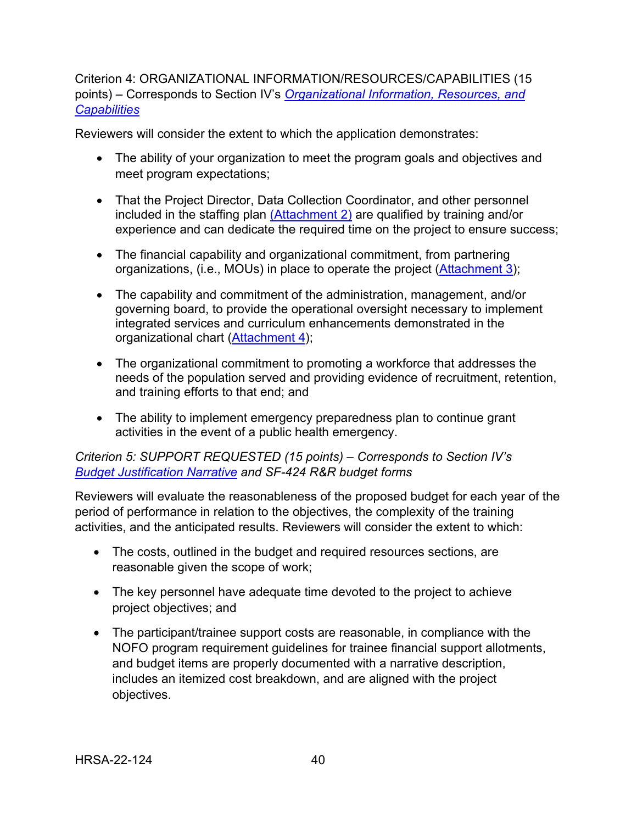<span id="page-43-0"></span>Criterion 4: ORGANIZATIONAL INFORMATION/RESOURCES/CAPABILITIES (15 points) – Corresponds to Section IV's *[Organizational Information, Resources, and](#page-28-0)  [Capabilities](#page-28-0)*

Reviewers will consider the extent to which the application demonstrates:

- The ability of your organization to meet the program goals and objectives and meet program expectations;
- That the Project Director, Data Collection Coordinator, and other personnel included in the staffing plan [\(Attachment 2\)](#page-32-4) are qualified by training and/or experience and can dedicate the required time on the project to ensure success;
- The financial capability and organizational commitment, from partnering organizations, (i.e., MOUs) in place to operate the project [\(Attachment 3\)](#page-32-2);
- The capability and commitment of the administration, management, and/or governing board, to provide the operational oversight necessary to implement integrated services and curriculum enhancements demonstrated in the organizational chart [\(Attachment 4\)](#page-33-2);
- The organizational commitment to promoting a workforce that addresses the needs of the population served and providing evidence of recruitment, retention, and training efforts to that end; and
- The ability to implement emergency preparedness plan to continue grant activities in the event of a public health emergency.

## *Criterion 5: SUPPORT REQUESTED (15 points) – Corresponds to Section IV's [Budget Justification Narrative](#page-31-0) and SF-424 R&R budget forms*

Reviewers will evaluate the reasonableness of the proposed budget for each year of the period of performance in relation to the objectives, the complexity of the training activities, and the anticipated results. Reviewers will consider the extent to which:

- The costs, outlined in the budget and required resources sections, are reasonable given the scope of work;
- The key personnel have adequate time devoted to the project to achieve project objectives; and
- The participant/trainee support costs are reasonable, in compliance with the NOFO program requirement guidelines for trainee financial support allotments, and budget items are properly documented with a narrative description, includes an itemized cost breakdown, and are aligned with the project objectives.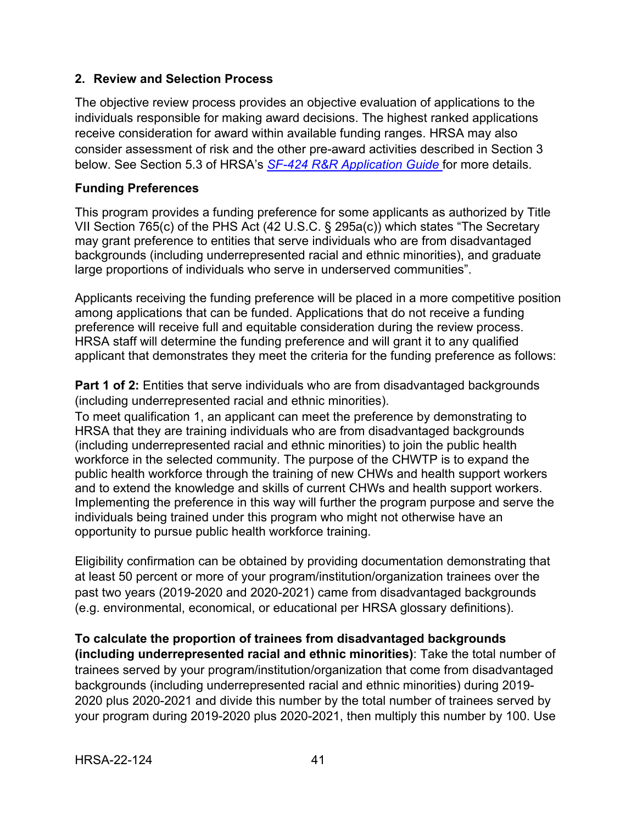## <span id="page-44-0"></span>**2. Review and Selection Process**

The objective review process provides an objective evaluation of applications to the individuals responsible for making award decisions. The highest ranked applications receive consideration for award within available funding ranges. HRSA may also consider assessment of risk and the other pre-award activities described in Section 3 below. See Section 5.3 of HRSA's *SF-424 R&R [Application Guide](http://www.hrsa.gov/grants/apply/applicationguide/sf424rrguidev2.pdf)* for more details.

## **Funding Preferences**

This program provides a funding preference for some applicants as authorized by Title VII Section 765(c) of the PHS Act (42 U.S.C. § 295a(c)) which states "The Secretary may grant preference to entities that serve individuals who are from disadvantaged backgrounds (including underrepresented racial and ethnic minorities), and graduate large proportions of individuals who serve in underserved communities".

Applicants receiving the funding preference will be placed in a more competitive position among applications that can be funded. Applications that do not receive a funding preference will receive full and equitable consideration during the review process. HRSA staff will determine the funding preference and will grant it to any qualified applicant that demonstrates they meet the criteria for the funding preference as follows:

**Part 1 of 2:** Entities that serve individuals who are from disadvantaged backgrounds (including underrepresented racial and ethnic minorities).

To meet qualification 1, an applicant can meet the preference by demonstrating to HRSA that they are training individuals who are from disadvantaged backgrounds (including underrepresented racial and ethnic minorities) to join the public health workforce in the selected community. The purpose of the CHWTP is to expand the public health workforce through the training of new CHWs and health support workers and to extend the knowledge and skills of current CHWs and health support workers. Implementing the preference in this way will further the program purpose and serve the individuals being trained under this program who might not otherwise have an opportunity to pursue public health workforce training.

Eligibility confirmation can be obtained by providing documentation demonstrating that at least 50 percent or more of your program/institution/organization trainees over the past two years (2019-2020 and 2020-2021) came from disadvantaged backgrounds (e.g. environmental, economical, or educational per HRSA glossary definitions).

**To calculate the proportion of trainees from disadvantaged backgrounds (including underrepresented racial and ethnic minorities)**: Take the total number of trainees served by your program/institution/organization that come from disadvantaged backgrounds (including underrepresented racial and ethnic minorities) during 2019- 2020 plus 2020-2021 and divide this number by the total number of trainees served by your program during 2019-2020 plus 2020-2021, then multiply this number by 100. Use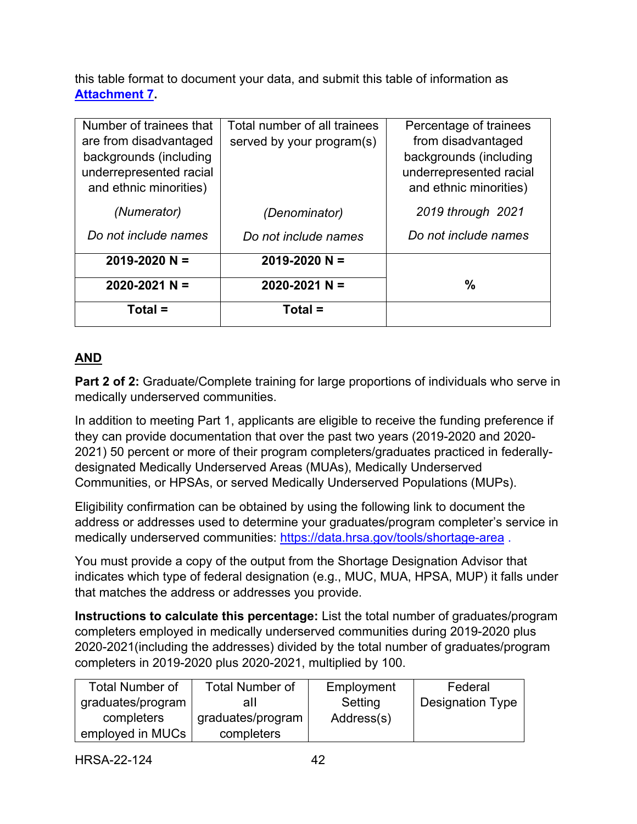this table format to document your data, and submit this table of information as **[Attachment 7.](#page-33-3)**

| Number of trainees that<br>are from disadvantaged<br>backgrounds (including<br>underrepresented racial<br>and ethnic minorities) | Total number of all trainees<br>served by your program(s) | Percentage of trainees<br>from disadvantaged<br>backgrounds (including<br>underrepresented racial<br>and ethnic minorities) |
|----------------------------------------------------------------------------------------------------------------------------------|-----------------------------------------------------------|-----------------------------------------------------------------------------------------------------------------------------|
| (Numerator)                                                                                                                      | (Denominator)                                             | 2019 through 2021                                                                                                           |
| Do not include names                                                                                                             | Do not include names                                      | Do not include names                                                                                                        |
| $2019 - 2020 N =$                                                                                                                | $2019 - 2020 N =$                                         |                                                                                                                             |
| $2020 - 2021$ N =                                                                                                                | $2020 - 2021$ N =                                         | %                                                                                                                           |
| Total $=$                                                                                                                        | Total =                                                   |                                                                                                                             |

## **AND**

**Part 2 of 2:** Graduate/Complete training for large proportions of individuals who serve in medically underserved communities.

In addition to meeting Part 1, applicants are eligible to receive the funding preference if they can provide documentation that over the past two years (2019-2020 and 2020- 2021) 50 percent or more of their program completers/graduates practiced in federallydesignated Medically Underserved Areas (MUAs), Medically Underserved Communities, or HPSAs, or served Medically Underserved Populations (MUPs).

Eligibility confirmation can be obtained by using the following link to document the address or addresses used to determine your graduates/program completer's service in medically underserved communities:<https://data.hrsa.gov/tools/shortage-area>.

You must provide a copy of the output from the Shortage Designation Advisor that indicates which type of federal designation (e.g., MUC, MUA, HPSA, MUP) it falls under that matches the address or addresses you provide.

**Instructions to calculate this percentage:** List the total number of graduates/program completers employed in medically underserved communities during 2019-2020 plus 2020-2021(including the addresses) divided by the total number of graduates/program completers in 2019-2020 plus 2020-2021, multiplied by 100.

| <b>Total Number of</b> | <b>Total Number of</b> | Employment | Federal                 |
|------------------------|------------------------|------------|-------------------------|
| graduates/program      | all                    | Setting    | <b>Designation Type</b> |
| completers             | graduates/program      | Address(s) |                         |
| employed in MUCs       | completers             |            |                         |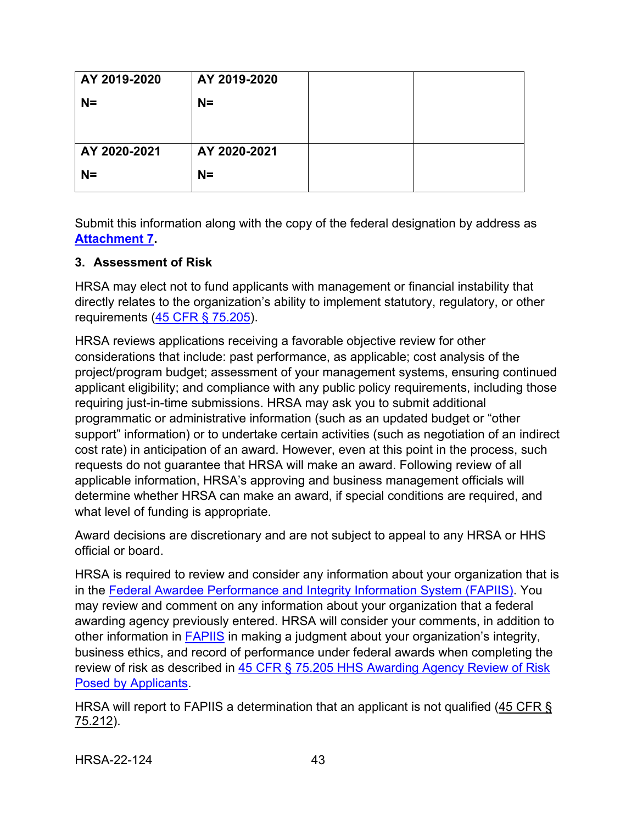| AY 2019-2020 | AY 2019-2020 |  |
|--------------|--------------|--|
| $N=$         | $N =$        |  |
|              |              |  |
|              |              |  |
| AY 2020-2021 | AY 2020-2021 |  |
| $N=$         | $N =$        |  |
|              |              |  |

Submit this information along with the copy of the federal designation by address as **[Attachment 7.](#page-33-3)** 

## <span id="page-46-0"></span>**3. Assessment of Risk**

HRSA may elect not to fund applicants with management or financial instability that directly relates to the organization's ability to implement statutory, regulatory, or other requirements [\(45 CFR § 75.205\)](https://www.ecfr.gov/cgi-bin/retrieveECFR?gp=1&SID=4d52364ec83fab994c665943dadf9cf7&ty=HTML&h=L&r=PART&n=pt45.1.75).

HRSA reviews applications receiving a favorable objective review for other considerations that include: past performance, as applicable; cost analysis of the project/program budget; assessment of your management systems, ensuring continued applicant eligibility; and compliance with any public policy requirements, including those requiring just-in-time submissions. HRSA may ask you to submit additional programmatic or administrative information (such as an updated budget or "other support" information) or to undertake certain activities (such as negotiation of an indirect cost rate) in anticipation of an award. However, even at this point in the process, such requests do not guarantee that HRSA will make an award. Following review of all applicable information, HRSA's approving and business management officials will determine whether HRSA can make an award, if special conditions are required, and what level of funding is appropriate.

Award decisions are discretionary and are not subject to appeal to any HRSA or HHS official or board.

HRSA is required to review and consider any information about your organization that is in the [Federal Awardee Performance and Integrity Information System \(FAPIIS\).](https://www.fapiis.gov/) You may review and comment on any information about your organization that a federal awarding agency previously entered. HRSA will consider your comments, in addition to other information in [FAPIIS](https://www.fapiis.gov/) in making a judgment about your organization's integrity, business ethics, and record of performance under federal awards when completing the review of risk as described in 45 CFR § 75.205 HHS Awarding Agency Review of Risk [Posed by Applicants.](https://www.ecfr.gov/cgi-bin/retrieveECFR?gp=1&SID=4d52364ec83fab994c665943dadf9cf7&ty=HTML&h=L&r=PART&n=pt45.1.75)

HRSA will report to FAPIIS a determination that an applicant is not qualified [\(45 CFR §](https://www.ecfr.gov/cgi-bin/retrieveECFR?gp=1&SID=4d52364ec83fab994c665943dadf9cf7&ty=HTML&h=L&r=PART&n=pt45.1.75)  [75.212\)](https://www.ecfr.gov/cgi-bin/retrieveECFR?gp=1&SID=4d52364ec83fab994c665943dadf9cf7&ty=HTML&h=L&r=PART&n=pt45.1.75).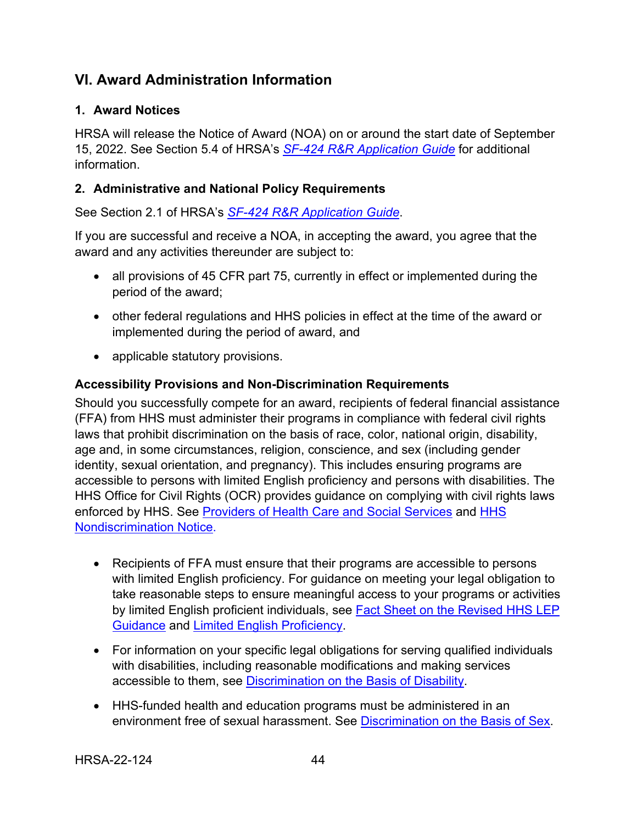## <span id="page-47-0"></span>**VI. Award Administration Information**

## <span id="page-47-1"></span>**1. Award Notices**

HRSA will release the Notice of Award (NOA) on or around the start date of September 15, 2022. See Section 5.4 of HRSA's *SF-424 [R&R Application Guide](http://www.hrsa.gov/grants/apply/applicationguide/sf424rrguidev2.pdf)* for additional information.

## <span id="page-47-2"></span>**2. Administrative and National Policy Requirements**

See Section 2.1 of HRSA's *SF-424 [R&R Application Guide](http://www.hrsa.gov/grants/apply/applicationguide/sf424rrguidev2.pdf)*.

If you are successful and receive a NOA, in accepting the award, you agree that the award and any activities thereunder are subject to:

- all provisions of 45 CFR part 75, currently in effect or implemented during the period of the award;
- other federal regulations and HHS policies in effect at the time of the award or implemented during the period of award, and
- applicable statutory provisions.

## **Accessibility Provisions and Non-Discrimination Requirements**

Should you successfully compete for an award, recipients of federal financial assistance (FFA) from HHS must administer their programs in compliance with federal civil rights laws that prohibit discrimination on the basis of race, color, national origin, disability, age and, in some circumstances, religion, conscience, and sex (including gender identity, sexual orientation, and pregnancy). This includes ensuring programs are accessible to persons with limited English proficiency and persons with disabilities. The HHS Office for Civil Rights (OCR) provides guidance on complying with civil rights laws enforced by HHS. See [Providers of Health Care and Social Services](https://www.hhs.gov/civil-rights/for-providers/provider-obligations/index.html) and [HHS](https://www.hhs.gov/civil-rights/for-individuals/nondiscrimination/index.html)  [Nondiscrimination Notice.](https://www.hhs.gov/civil-rights/for-individuals/nondiscrimination/index.html)

- Recipients of FFA must ensure that their programs are accessible to persons with limited English proficiency. For guidance on meeting your legal obligation to take reasonable steps to ensure meaningful access to your programs or activities by limited English proficient individuals, see Fact Sheet on the Revised HHS LEP [Guidance](https://www.hhs.gov/civil-rights/for-individuals/special-topics/limited-english-proficiency/fact-sheet-guidance/index.html) and [Limited English Proficiency.](https://www.lep.gov/)
- For information on your specific legal obligations for serving qualified individuals with disabilities, including reasonable modifications and making services accessible to them, see [Discrimination on the Basis of Disability.](http://www.hhs.gov/ocr/civilrights/understanding/disability/index.html)
- HHS-funded health and education programs must be administered in an environment free of sexual harassment. See [Discrimination on the Basis of Sex.](https://www.hhs.gov/civil-rights/for-individuals/sex-discrimination/index.html)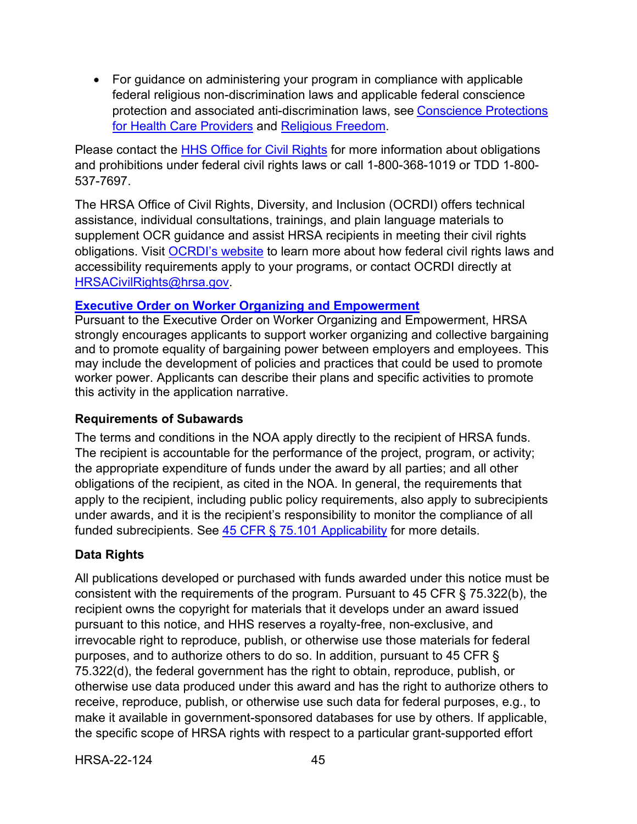• For guidance on administering your program in compliance with applicable federal religious non-discrimination laws and applicable federal conscience protection and associated anti-discrimination laws, see [Conscience Protections](https://www.hhs.gov/conscience/conscience-protections/index.html)  [for Health Care Providers](https://www.hhs.gov/conscience/conscience-protections/index.html) and [Religious Freedom.](https://www.hhs.gov/conscience/religious-freedom/index.html)

Please contact the [HHS Office for Civil Rights](https://www.hhs.gov/ocr/about-us/contact-us/index.html) for more information about obligations and prohibitions under federal civil rights laws or call 1-800-368-1019 or TDD 1-800- 537-7697.

The HRSA Office of Civil Rights, Diversity, and Inclusion (OCRDI) offers technical assistance, individual consultations, trainings, and plain language materials to supplement OCR guidance and assist HRSA recipients in meeting their civil rights obligations. Visit [OCRDI's website](https://www.hrsa.gov/about/organization/bureaus/ocrdi#recipients) to learn more about how federal civil rights laws and accessibility requirements apply to your programs, or contact OCRDI directly at [HRSACivilRights@hrsa.gov.](mailto:HRSACivilRights@hrsa.gov)

#### **[Executive Order on Worker Organizing and Empowerment](https://www.whitehouse.gov/briefing-room/presidential-actions/2021/04/26/executive-order-on-worker-organizing-and-empowerment/)**

Pursuant to the Executive Order on Worker Organizing and Empowerment, HRSA strongly encourages applicants to support worker organizing and collective bargaining and to promote equality of bargaining power between employers and employees. This may include the development of policies and practices that could be used to promote worker power. Applicants can describe their plans and specific activities to promote this activity in the application narrative.

#### **Requirements of Subawards**

The terms and conditions in the NOA apply directly to the recipient of HRSA funds. The recipient is accountable for the performance of the project, program, or activity; the appropriate expenditure of funds under the award by all parties; and all other obligations of the recipient, as cited in the NOA. In general, the requirements that apply to the recipient, including public policy requirements, also apply to subrecipients under awards, and it is the recipient's responsibility to monitor the compliance of all funded subrecipients. See  $45$  CFR § 75.101 Applicability for more details.

## **Data Rights**

All publications developed or purchased with funds awarded under this notice must be consistent with the requirements of the program. Pursuant to 45 CFR § 75.322(b), the recipient owns the copyright for materials that it develops under an award issued pursuant to this notice, and HHS reserves a royalty-free, non-exclusive, and irrevocable right to reproduce, publish, or otherwise use those materials for federal purposes, and to authorize others to do so. In addition, pursuant to 45 CFR § 75.322(d), the federal government has the right to obtain, reproduce, publish, or otherwise use data produced under this award and has the right to authorize others to receive, reproduce, publish, or otherwise use such data for federal purposes, e.g., to make it available in government-sponsored databases for use by others. If applicable, the specific scope of HRSA rights with respect to a particular grant-supported effort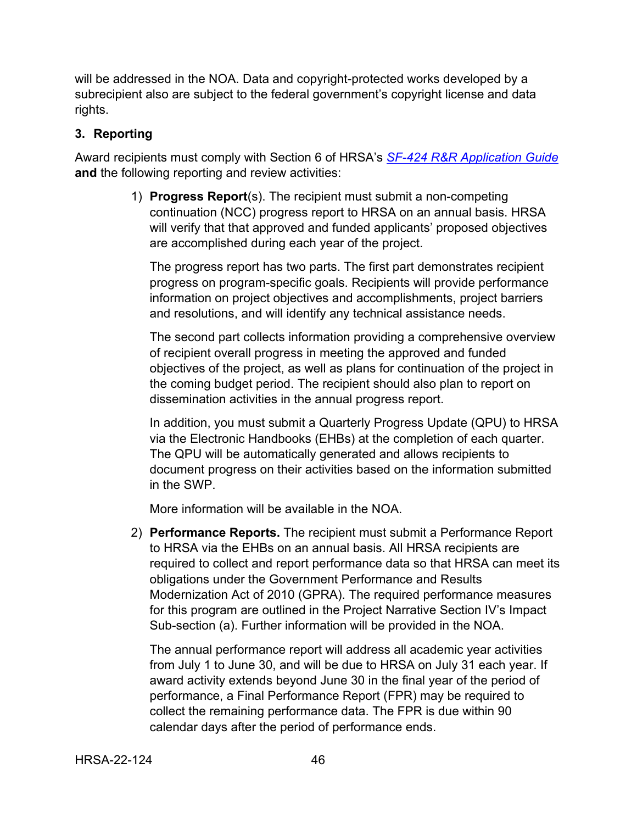will be addressed in the NOA. Data and copyright-protected works developed by a subrecipient also are subject to the federal government's copyright license and data rights.

#### <span id="page-49-0"></span>**3. Reporting**

Award recipients must comply with Section 6 of HRSA's *SF-424 [R&R Application Guide](http://www.hrsa.gov/grants/apply/applicationguide/sf424rrguidev2.pdf)* **and** the following reporting and review activities:

> 1) **Progress Report**(s). The recipient must submit a non-competing continuation (NCC) progress report to HRSA on an annual basis. HRSA will verify that that approved and funded applicants' proposed objectives are accomplished during each year of the project.

The progress report has two parts. The first part demonstrates recipient progress on program-specific goals. Recipients will provide performance information on project objectives and accomplishments, project barriers and resolutions, and will identify any technical assistance needs.

The second part collects information providing a comprehensive overview of recipient overall progress in meeting the approved and funded objectives of the project, as well as plans for continuation of the project in the coming budget period. The recipient should also plan to report on dissemination activities in the annual progress report.

In addition, you must submit a Quarterly Progress Update (QPU) to HRSA via the Electronic Handbooks (EHBs) at the completion of each quarter. The QPU will be automatically generated and allows recipients to document progress on their activities based on the information submitted in the SWP.

More information will be available in the NOA.

2) **Performance Reports.** The recipient must submit a Performance Report to HRSA via the EHBs on an annual basis. All HRSA recipients are required to collect and report performance data so that HRSA can meet its obligations under the Government Performance and Results Modernization Act of 2010 (GPRA). The required performance measures for this program are outlined in the Project Narrative Section IV's Impact Sub-section (a). Further information will be provided in the NOA.

The annual performance report will address all academic year activities from July 1 to June 30, and will be due to HRSA on July 31 each year. If award activity extends beyond June 30 in the final year of the period of performance, a Final Performance Report (FPR) may be required to collect the remaining performance data. The FPR is due within 90 calendar days after the period of performance ends.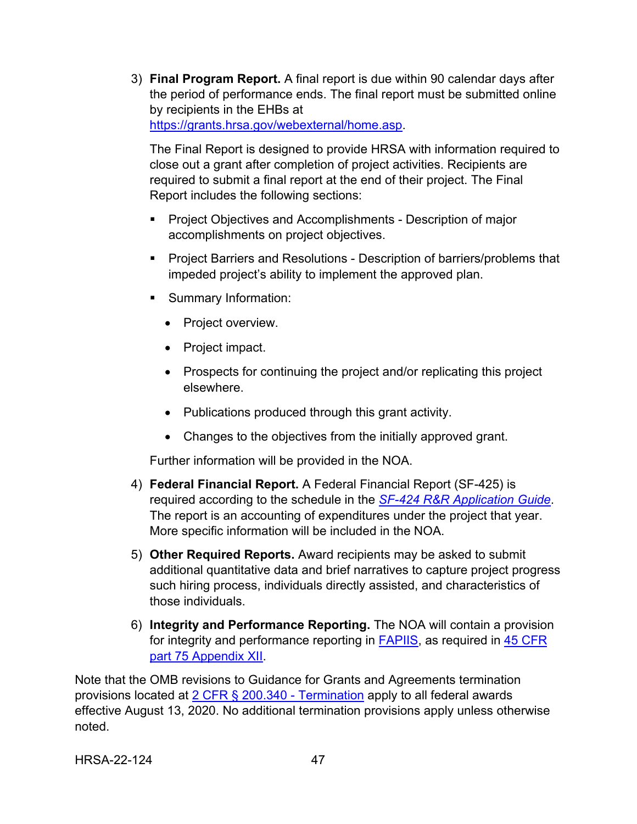3) **Final Program Report.** A final report is due within 90 calendar days after the period of performance ends. The final report must be submitted online by recipients in the EHBs at [https://grants.hrsa.gov/webexternal/home.asp.](https://grants.hrsa.gov/webexternal/home.asp)

The Final Report is designed to provide HRSA with information required to close out a grant after completion of project activities. Recipients are required to submit a final report at the end of their project. The Final Report includes the following sections:

- Project Objectives and Accomplishments Description of major accomplishments on project objectives.
- **Project Barriers and Resolutions Description of barriers/problems that** impeded project's ability to implement the approved plan.
- **Summary Information:** 
	- Project overview.
	- Project impact.
	- Prospects for continuing the project and/or replicating this project elsewhere.
	- Publications produced through this grant activity.
	- Changes to the objectives from the initially approved grant.

Further information will be provided in the NOA.

- 4) **Federal Financial Report.** A Federal Financial Report (SF-425) is required according to the schedule in the *SF-424 [R&R Application Guide](http://www.hrsa.gov/grants/apply/applicationguide/sf424rrguidev2.pdf)*. The report is an accounting of expenditures under the project that year. More specific information will be included in the NOA.
- 5) **Other Required Reports.** Award recipients may be asked to submit additional quantitative data and brief narratives to capture project progress such hiring process, individuals directly assisted, and characteristics of those individuals.
- 6) **Integrity and Performance Reporting.** The NOA will contain a provision for integrity and performance reporting in [FAPIIS,](https://www.fapiis.gov/) as required in [45 CFR](https://www.ecfr.gov/cgi-bin/retrieveECFR?gp=1&SID=4d52364ec83fab994c665943dadf9cf7&ty=HTML&h=L&r=PART&n=pt45.1.75)  [part 75 Appendix XII.](https://www.ecfr.gov/cgi-bin/retrieveECFR?gp=1&SID=4d52364ec83fab994c665943dadf9cf7&ty=HTML&h=L&r=PART&n=pt45.1.75)

Note that the OMB revisions to Guidance for Grants and Agreements termination provisions located at [2 CFR § 200.340 - Termination](https://www.ecfr.gov/cgi-bin/text-idx?SID=da67ef9e79256f1b11e99d2ecb083228&mc=true&node=se2.1.200_1340&rgn=div8) apply to all federal awards effective August 13, 2020. No additional termination provisions apply unless otherwise noted.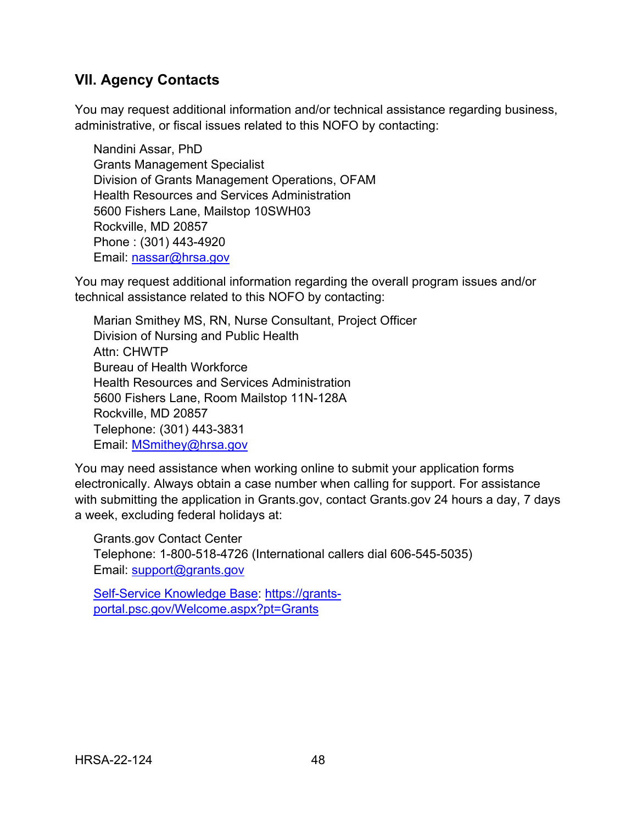## <span id="page-51-0"></span>**VII. Agency Contacts**

You may request additional information and/or technical assistance regarding business, administrative, or fiscal issues related to this NOFO by contacting:

Nandini Assar, PhD Grants Management Specialist Division of Grants Management Operations, OFAM Health Resources and Services Administration 5600 Fishers Lane, Mailstop 10SWH03 Rockville, MD 20857 Phone : (301) 443-4920 Email: [nassar@hrsa.gov](mailto:XXXX@hrsa.gov)

You may request additional information regarding the overall program issues and/or technical assistance related to this NOFO by contacting:

Marian Smithey MS, RN, Nurse Consultant, Project Officer Division of Nursing and Public Health Attn: CHWTP Bureau of Health Workforce Health Resources and Services Administration 5600 Fishers Lane, Room Mailstop 11N-128A Rockville, MD 20857 Telephone: (301) 443-3831 Email: [MSmithey@hrsa.gov](mailto:MSmithey@hrsa.gov)

You may need assistance when working online to submit your application forms electronically. Always obtain a case number when calling for support. For assistance with submitting the application in Grants.gov, contact Grants.gov 24 hours a day, 7 days a week, excluding federal holidays at:

Grants.gov Contact Center Telephone: 1-800-518-4726 (International callers dial 606-545-5035) Email: [support@grants.gov](mailto:support@grants.gov)

[Self-Service Knowledge Base:](https://gditshared.servicenowservices.com/hhs_grants?pt=Grants) [https://grants](https://grants-portal.psc.gov/Welcome.aspx?pt=Grants)[portal.psc.gov/Welcome.aspx?pt=Grants](https://grants-portal.psc.gov/Welcome.aspx?pt=Grants)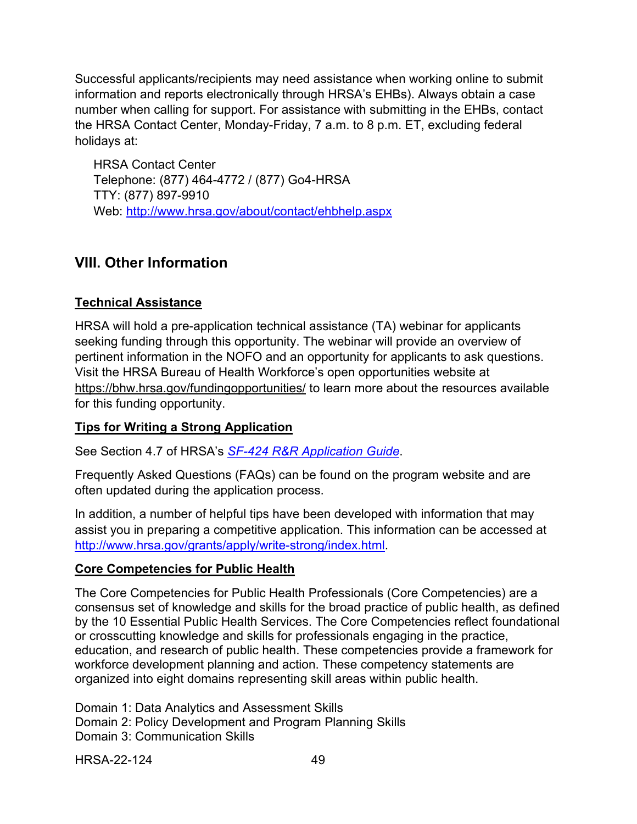Successful applicants/recipients may need assistance when working online to submit information and reports electronically through HRSA's EHBs). Always obtain a case number when calling for support. For assistance with submitting in the EHBs, contact the HRSA Contact Center, Monday-Friday, 7 a.m. to 8 p.m. ET, excluding federal holidays at:

HRSA Contact Center Telephone: (877) 464-4772 / (877) Go4-HRSA TTY: (877) 897-9910 Web: <http://www.hrsa.gov/about/contact/ehbhelp.aspx>

## <span id="page-52-1"></span><span id="page-52-0"></span>**VIII. Other Information**

## **Technical Assistance**

HRSA will hold a pre-application technical assistance (TA) webinar for applicants seeking funding through this opportunity. The webinar will provide an overview of pertinent information in the NOFO and an opportunity for applicants to ask questions. Visit the HRSA Bureau of Health Workforce's open opportunities website at <https://bhw.hrsa.gov/fundingopportunities/> to learn more about the resources available for this funding opportunity.

## **Tips for Writing a Strong Application**

See Section 4.7 of HRSA's *SF-424 [R&R Application Guide](http://www.hrsa.gov/grants/apply/applicationguide/sf424rrguidev2.pdf)*.

Frequently Asked Questions (FAQs) can be found on the program website and are often updated during the application process.

In addition, a number of helpful tips have been developed with information that may assist you in preparing a competitive application. This information can be accessed at [http://www.hrsa.gov/grants/apply/write-strong/index.html.](http://www.hrsa.gov/grants/apply/write-strong/index.html)

## **Core Competencies for Public Health**

The [Core Competencies for Public Health Professionals](https://www.phf.org/resourcestools/Documents/Core_Competencies_for_Public_Health_Professionals_2021October.pdf) (Core Competencies) are a consensus set of knowledge and skills for the broad practice of public health, as defined by the [10 Essential Public Health Services.](https://www.cdc.gov/publichealthgateway/publichealthservices/essentialhealthservices.html) The Core Competencies reflect foundational or crosscutting knowledge and skills for professionals engaging in the practice, education, and research of public health. These competencies provide a framework for workforce development planning and action. These competency statements are organized into eight domains representing skill areas within public health.

Domain 1: Data Analytics and Assessment Skills

Domain 2: Policy Development and Program Planning Skills

Domain 3: Communication Skills